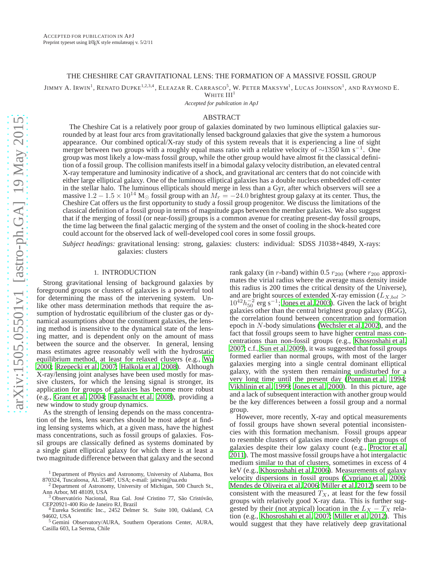# THE CHESHIRE CAT GRAVITATIONAL LENS: THE FORMATION OF A MASSIVE FOSSIL GROUP

JIMMY A. IRWIN<sup>1</sup>, RENATO DUPKE<sup>1,2,3,4</sup>, ELEAZAR R. CARRASCO<sup>5</sup>, W. PETER MAKSYM<sup>1</sup>, LUCAS JOHNSON<sup>1</sup>, AND RAYMOND E.

WHITE  $III<sup>1</sup>$ 

*Accepted for pubilcation in ApJ*

## ABSTRACT

The Cheshire Cat is a relatively poor group of galaxies dominated by two luminous elliptical galaxies surrounded by at least four arcs from gravitationally lensed background galaxies that give the system a humorous appearance. Our combined optical/X-ray study of this system reveals that it is experiencing a line of sight merger between two groups with a roughly equal mass ratio with a relative velocity of ~1350 km s<sup>-1</sup>. One group was most likely a low-mass fossil group, while the other group would have almost fit the classical definition of a fossil group. The collision manifests itself in a bimodal galaxy velocity distribution, an elevated central X-ray temperature and luminosity indicative of a shock, and gravitational arc centers that do not coincide with either large elliptical galaxy. One of the luminous elliptical galaxies has a double nucleus embedded off-center in the stellar halo. The luminous ellipticals should merge in less than a Gyr, after which observers will see a massive  $1.2 - 1.5 \times 10^{14}$  M<sub>☉</sub> fossil group with an  $M_r = -24.0$  brightest group galaxy at its center. Thus, the Cheshire Cat offers us the first opportunity to study a fossil group progenitor. We discuss the limitations of the classical definition of a fossil group in terms of magnitude gaps between the member galaxies. We also suggest that if the merging of fossil (or near-fossil) groups is a common avenue for creating present-day fossil groups, the time lag between the final galactic merging of the system and the onset of cooling in the shock-heated core could account for the observed lack of well-developed cool cores in some fossil groups.

*Subject headings:* gravitational lensing: strong, galaxies: clusters: individual: SDSS J1038+4849, X-rays: galaxies: clusters

# 1. INTRODUCTION

Strong gravitational lensing of background galaxies by foreground groups or clusters of galaxies is a powerful tool for determining the mass of the intervening system. Unlike other mass determination methods that require the assumption of hydrostatic equilibrium of the cluster gas or dynamical assumptions about the constituent galaxies, the lensing method is insensitive to the dynamical state of the lensing matter, and is dependent only on the amount of mass between the source and the observer. In general, lensing mass estimates agree reasonably well with the hydrostatic equilibrium method, at least for relaxed clusters (e.g., [Wu](#page-14-0) [2000;](#page-14-0) [Rzepecki et al. 2007](#page-14-1); [Halkola et al. 2008](#page-14-2)). Although X-ray/lensing joint analyses have been used mostly for massive clusters, for which the lensing signal is stronger, its application for groups of galaxies has become more robust (e.g., [Grant et al. 2004](#page-14-3); [Fassnacht et al. 2008\)](#page-14-4), providing a new window to study group dynamics.

As the strength of lensing depends on the mass concentration of the lens, lens searches should be most adept at finding lensing systems which, at a given mass, have the highest mass concentrations, such as fossil groups of galaxies. Fossil groups are classically defined as systems dominated by a single giant elliptical galaxy for which there is at least a two magnitude difference between that galaxy and the second

rank galaxy (in r-band) within 0.5  $r_{200}$  (where  $r_{200}$  approximates the virial radius where the average mass density inside this radius is 200 times the critical density of the Universe), and are bright sources of extended X-ray emission ( $L_{X,bol}$ )  $10^{42}h_{50}^{-2}$  erg s<sup>-1</sup>; [Jones et al. 2003\)](#page-14-5). Given the lack of bright galaxies other than the central brightest group galaxy (BGG), the correlation found between concentration and formation epoch in N-body simulations [\(Wechsler et al. 2002\)](#page-14-6), and the fact that fossil groups seem to have higher central mass concentrations than non-fossil groups (e.g., [Khosroshahi et al.](#page-14-7) [2007;](#page-14-7) c.f., [Sun et al. 2009\)](#page-14-8), it was suggested that fossil groups formed earlier than normal groups, with most of the larger galaxies merging into a single central dominant elliptical galaxy, with the system then remaining undisturbed for a very long time until the present day [\(Ponman et al. 1994](#page-14-9); [Vikhlinin et al. 1999;](#page-14-10) [Jones et al. 2000\)](#page-14-11). In this picture, age and a lack of subsequent interaction with another group would be the key differences between a fossil group and a normal group.

However, more recently, X-ray and optical measurements of fossil groups have shown several potential inconsistencies with this formation mechanism. Fossil groups appear to resemble clusters of galaxies more closely than groups of galaxies despite their low galaxy count (e.g., [Proctor et al.](#page-14-12) [2011\)](#page-14-12). The most massive fossil groups have a hot intergalactic medium similar to that of clusters, sometimes in excess of 4 keV (e.g., [Khosroshahi et al. 2006\)](#page-14-13). Measurements of galaxy velocity dispersions in fossil groups [\(Cypriano et al. 2006](#page-14-14); [Mendes de Oliveira et al. 2006;](#page-14-15) [Miller et al. 2012\)](#page-14-16) seem to be consistent with the measured  $T_X$ , at least for the few fossil groups with relatively good X-ray data. This is further suggested by their (not atypical) location in the  $L_X - T_X$  relation (e.g., [Khosroshahi et al. 2007;](#page-14-7) [Miller et al. 2012\)](#page-14-16). This would suggest that they have relatively deep gravitational

<sup>&</sup>lt;sup>1</sup> Department of Physics and Astronomy, University of Alabama, Box 870324, Tuscaloosa, AL 35487, USA; e-mail: jairwin@ua.edu

<sup>2</sup> Department of Astronomy, University of Michigan, 500 Church St., Ann Arbor, MI 48109, USA

<sup>3</sup> Observatório Nacional, Rua Gal. José Cristino 77, São Cristóvão, CEP20921-400 Rio de Janeiro RJ, Brazil

<sup>4</sup> Eureka Scientific Inc., 2452 Delmer St. Suite 100, Oakland, CA 94602, USA <sup>5</sup> Gemini Observatory/AURA, Southern Operations Center, AURA,

Casilla 603, La Serena, Chile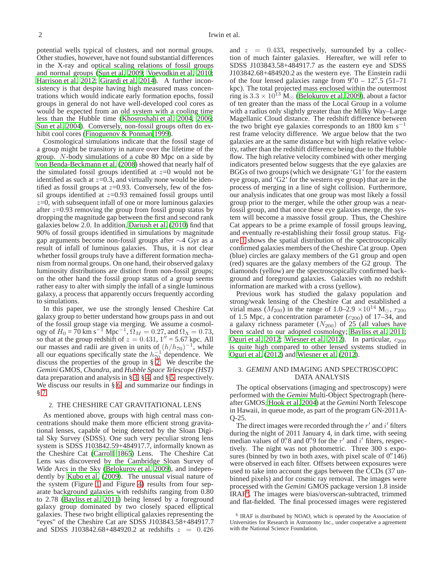potential wells typical of clusters, and not normal groups. Other studies, however, have not found substantial differences in the X-ray and optical scaling relations of fossil groups and normal groups [\(Sun et al. 2009](#page-14-8); [Voevodkin et al. 2010;](#page-14-17) [Harrison et al. 2012;](#page-14-18) [Girardi et al. 2014](#page-14-19)). A further inconsistency is that despite having high measured mass concentrations which would indicate early formation epochs, fossil groups in general do not have well-developed cool cores as would be expected from an old system with a cooling time less than the Hubble time [\(Khosroshahi et al. 2004,](#page-14-20) [2006;](#page-14-13) [Sun et al. 2004](#page-14-21)). Conversely, non-fossil groups often do exhibit cool cores [\(Finoguenov & Ponman 1999\)](#page-14-22).

Cosmological simulations indicate that the fossil stage of a group might be transitory in nature over the lifetime of the group. N-body simulations of a cube 80 Mpc on a side by [von Benda-Beckmann et al.](#page-14-23) [\(2008\)](#page-14-23) showed that nearly half of the simulated fossil groups identified at  $z=0$  would not be identified as such at  $z=0.3$ , and virtually none would be identified as fossil groups at  $z=0.93$ . Conversely, few of the fossil groups identified at  $z=0.93$  remained fossil groups until  $z=0$ , with subsequent infall of one or more luminous galaxies after  $z=0.93$  removing the group from fossil group status by dropping the magnitude gap between the first and second rank galaxies below 2.0. In addition, [Dariush et al. \(2010\)](#page-14-24) find that 90% of fossil groups identified in simulations by magnitude gap arguments become non-fossil groups after ∼4 Gyr as a result of infall of luminous galaxies. Thus, it is not clear whether fossil groups truly have a different formation mechanism from normal groups. On one hand, their observed galaxy luminosity distributions are distinct from non-fossil groups; on the other hand the fossil group status of a group seems rather easy to alter with simply the infall of a single luminous galaxy, a process that apparently occurs frequently according to simulations.

In this paper, we use the strongly lensed Cheshire Cat galaxy group to better understand how groups pass in and out of the fossil group stage via merging. We assume a cosmology of  $H_0 = 70 \text{ km s}^{-1} \text{ Mpc}^{-1}$ ,  $\Omega_M = 0.27$ , and  $\Omega_{\Lambda} = 0.73$ , so that at the group redshift of  $z = 0.431$ ,  $1'' = 5.67$  kpc. All our masses and radii are given in units of  $(h/h_{70})^{-1}$ , while all our equations specifically state the  $h^{-1}_{70}$  dependence. We discuss the properties of the group in § [2.](#page-1-0) We describe the *Gemini* GMOS, *Chandra*, and *Hubble Space Telescope (HST)* data preparation and analysis in § [3,](#page-1-1) § [4,](#page-6-0) and § [5,](#page-7-0) respectively. We discuss our results in  $\S$  [6,](#page-7-1) and summarize our findings in § [7.](#page-13-0)

### <span id="page-1-0"></span>2. THE CHESHIRE CAT GRAVITATIONAL LENS

As mentioned above, groups with high central mass concentrations should make them more efficient strong gravitational lenses, capable of being detected by the Sloan Digital Sky Survey (SDSS). One such very peculiar strong lens system is SDSS J103842.59+484917.7, informally known as the Cheshire Cat [\(Carroll 1865](#page-14-25)) Lens. The Cheshire Cat Lens was discovered by the Cambridge Sloan Survey of Wide Arcs in the Sky [\(Belokurov et al. 2009](#page-14-26)), and independently by [Kubo et al. \(2009\)](#page-14-27). The unusual visual nature of the system (Figure [1](#page-2-0) and Figure [4\)](#page-8-0) results from four separate background galaxies with redshifts ranging from 0.80 to 2.78 [\(Bayliss et al. 2011\)](#page-14-28) being lensed by a foreground galaxy group dominated by two closely spaced elliptical galaxies. These two bright elliptical galaxies representing the "eyes" of the Cheshire Cat are SDSS J103843.58+484917.7 and SDSS J103842.68+484920.2 at redshifts  $z = 0.426$ 

and  $z = 0.433$ , respectively, surrounded by a collection of much fainter galaxies. Hereafter, we will refer to SDSS J103843.58+484917.7 as the eastern eye and SDSS J103842.68+484920.2 as the western eye. The Einstein radii of the four lensed galaxies range from  $9\rlap.{''}0 - 12\rlap.{''}$ .5 (51–71 kpc). The total projected mass enclosed within the outermost ring is  $3.3 \times 10^{13}$  M<sub>☉</sub> [\(Belokurov et al. 2009\)](#page-14-26), about a factor of ten greater than the mass of the Local Group in a volume with a radius only slightly greater than the Milky Way–Large Magellanic Cloud distance. The redshift difference between the two bright eye galaxies corresponds to an 1800 km s<sup> $-1$ </sup> rest frame velocity difference. We argue below that the two galaxies are at the same distance but with high relative velocity, rather than the redshift difference being due to the Hubble flow. The high relative velocity combined with other merging indicators presented below suggests that the eye galaxies are BGGs of two groups (which we designate 'G1' for the eastern eye group, and 'G2' for the western eye group) that are in the process of merging in a line of sight collision. Furthermore, our analysis indicates that one group was most likely a fossil group prior to the merger, while the other group was a nearfossil group, and that once these eye galaxies merge, the system will become a massive fossil group. Thus, the Cheshire Cat appears to be a prime example of fossil groups leaving, and eventually re-establishing their fossil group status. Figure [1](#page-2-0) shows the spatial distribution of the spectroscopically confirmed galaxies members of the Cheshire Cat group. Open (blue) circles are galaxy members of the G1 group and open (red) squares are the galaxy members of the G2 group. The diamonds (yellow) are the spectroscopically confirmed background and foreground galaxies. Galaxies with no redshift information are marked with a cross (yellow).

Previous work has studied the galaxy population and strong/weak lensing of the Cheshire Cat and established a virial mass ( $M_{200}$ ) in the range of 1.0–2.9 ×10<sup>14</sup> M<sub>☉</sub>,  $r_{200}$ of 1.5 Mpc, a concentration parameter  $(c_{200})$  of 17–34, and a galaxy richness parameter  $(N_{200})$  of 25 (all values have been scaled to our adopted cosmology; [Bayliss et al. 2011](#page-14-28); [Oguri et al. 2012](#page-14-29); [Wiesner et al. 2012](#page-14-30)). In particular,  $c_{200}$ is quite high compared to other lensed systems studied in [Oguri et al.](#page-14-29) [\(2012\)](#page-14-29) and [Wiesner et al.](#page-14-30) [\(2012\)](#page-14-30).

# <span id="page-1-1"></span>3. *GEMINI* AND IMAGING AND SPECTROSCOPIC DATA ANALYSIS

The optical observations (imaging and spectroscopy) were performed with the *Gemini* Multi-Object Spectrograph (hereafter GMOS; [Hook et al. 2004](#page-14-31)) at the *Gemini* North Telescope in Hawaii, in queue mode, as part of the program GN-2011A-Q-25.

The direct images were recorded through the  $r'$  and  $i'$  filters during the night of 2011 January 4, in dark time, with seeing median values of 0.'8 and 0.'9 for the  $r'$  and  $i'$  filters, respectively. The night was not photometric. Three 300 s exposures (binned by two in both axes, with pixel scale of  $0''$  146) were observed in each filter. Offsets between exposures were used to take into account the gaps between the CCDs (37 unbinned pixels) and for cosmic ray removal. The images were processed with the *Gemini* GMOS package version 1.8 inside IRAF<sup>6</sup> . The images were bias/overscan-subtracted, trimmed and flat-fielded. The final processed images were registered

<sup>&</sup>lt;sup>6</sup> IRAF is distributed by NOAO, which is operated by the Association of Universities for Research in Astronomy Inc., under cooperative a agreement with the National Science Foundation.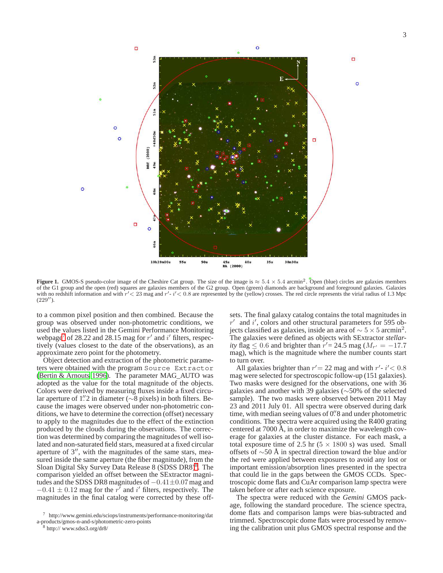

<span id="page-2-0"></span>**Figure 1.** GMOS-S pseudo-color image of the Cheshire Cat group. The size of the image is  $\approx 5.4 \times 5.4$  arcmin<sup>2</sup>. Open (blue) circles are galaxies members of the G1 group and the open (red) squares are galaxies members of the G2 group. Open (green) diamonds are background and foreground galaxies. Galaxies with no redshift information and with  $r' < 23$  mag and  $r' \cdot i' < 0.8$  are represented by the (yellow) crosses. The red circle represents the virial radius of 1.3 Mpc  $(229'')$ .

to a common pixel position and then combined. Because the group was observed under non-photometric conditions, we used the values listed in the Gemini Performance Monitoring webpage<sup>7</sup> of 28.22 and 28.15 mag for  $r'$  and  $i'$  filters, respectively (values closest to the date of the observations), as an approximate zero point for the photometry.

Object detection and extraction of the photometric parameters were obtained with the program Source Extractor [\(Bertin & Arnouts 1996](#page-14-32)). The parameter MAG\_AUTO was adopted as the value for the total magnitude of the objects. Colors were derived by measuring fluxes inside a fixed circular aperture of 1"2 in diameter (∼8 pixels) in both filters. Because the images were observed under non-photometric conditions, we have to determine the correction (offset) necessary to apply to the magnitudes due to the effect of the extinction produced by the clouds during the observations. The correction was determined by comparing the magnitudes of well isolated and non-saturated field stars, measured at a fixed circular aperture of 3′′, with the magnitudes of the same stars, measured inside the same aperture (the fiber magnitude), from the Sloan Digital Sky Survey Data Release 8 (SDSS DR8)<sup>8</sup>. The comparison yielded an offset between the SExtractor magnitudes and the SDSS DR8 magnitudes of  $-0.41\pm0.07$  mag and  $-0.41 \pm 0.12$  mag for the r<sup>7</sup> and i' filters, respectively. The magnitudes in the final catalog were corrected by these off-

sets. The final galaxy catalog contains the total magnitudes in  $r'$  and  $i'$ , colors and other structural parameters for 595 objects classified as galaxies, inside an area of  $\sim 5 \times 5$  arcmin<sup>2</sup>. The galaxies were defined as objects with SExtractor *stellarity* flag  $\leq 0.6$  and brighter than  $r' = 24.5$  mag ( $M_{r'} = -17.7$ mag), which is the magnitude where the number counts start to turn over.

All galaxies brighter than  $r' = 22$  mag and with  $r' \cdot i' < 0.8$ mag were selected for spectroscopic follow-up (151 galaxies). Two masks were designed for the observations, one with 36 galaxies and another with 39 galaxies (∼50% of the selected sample). The two masks were observed between 2011 May 23 and 2011 July 01. All spectra were observed during dark time, with median seeing values of 0.<sup>7</sup> 8 and under photometric conditions. The spectra were acquired using the R400 grating centered at 7000 Å, in order to maximize the wavelength coverage for galaxies at the cluster distance. For each mask, a total exposure time of 2.5 hr  $(5 \times 1800 \text{ s})$  was used. Small offsets of ∼50 Å in spectral direction toward the blue and/or the red were applied between exposures to avoid any lost or important emission/absorption lines presented in the spectra that could lie in the gaps between the GMOS CCDs. Spectroscopic dome flats and CuAr comparison lamp spectra were taken before or after each science exposure.

The spectra were reduced with the *Gemini* GMOS package, following the standard procedure. The science spectra, dome flats and comparison lamps were bias-subtracted and trimmed. Spectroscopic dome flats were processed by removing the calibration unit plus GMOS spectral response and the

<sup>7</sup> http://www.gemini.edu/sciops/instruments/performance-monitoring/dat a-products/gmos-n-and-s/photometric-zero-points

<sup>8</sup> http:// www.sdss3.org/dr8/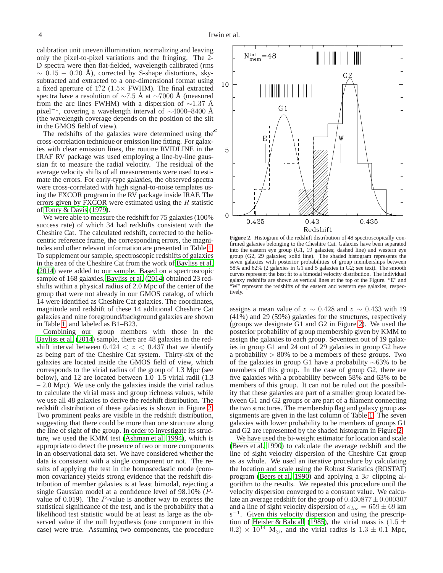calibration unit uneven illumination, normalizing and leaving only the pixel-to-pixel variations and the fringing. The 2- D spectra were then flat-fielded, wavelength calibrated (rms  $\sim 0.15 - 0.20$  Å), corrected by S-shape distortions, skysubtracted and extracted to a one-dimensional format using a fixed aperture of  $1\rlap.{''}2$  (1.5 $\times$  FWHM). The final extracted spectra have a resolution of  $\sim$ 7.5 Å at  $\sim$ 7000 Å (measured from the arc lines FWHM) with a dispersion of  $\sim$ 1.37 Å pixel−<sup>1</sup> , covering a wavelength interval of ∼4000–8400 Å (the wavelength coverage depends on the position of the slit in the GMOS field of view).

The redshifts of the galaxies were determined using the cross-correlation technique or emission line fitting. For galaxies with clear emission lines, the routine RVIDLINE in the IRAF RV package was used employing a line-by-line gaussian fit to measure the radial velocity. The residual of the average velocity shifts of all measurements were used to estimate the errors. For early-type galaxies, the observed spectra were cross-correlated with high signal-to-noise templates using the FXCOR program in the RV package inside IRAF. The errors given by FXCOR were estimated using the  $R$  statistic of [Tonry & Davis](#page-14-33) [\(1979\)](#page-14-33).

We were able to measure the redshift for 75 galaxies (100%) success rate) of which 34 had redshifts consistent with the Cheshire Cat. The calculated redshift, corrected to the heliocentric reference frame, the corresponding errors, the magnitudes and other relevant information are presented in Table [1.](#page-4-0) To supplement our sample, spectroscopic redshifts of galaxies in the area of the Cheshire Cat from the work of [Bayliss et al.](#page-14-34) [\(2014](#page-14-34)) were added to our sample. Based on a spectroscopic sample of 168 galaxies, [Bayliss et al. \(2014](#page-14-34)) obtained 23 redshifts within a physical radius of 2.0 Mpc of the center of the group that were not already in our GMOS catalog, of which 14 were identified as Cheshire Cat galaxies. The coordinates, magnitude and redshift of these 14 additional Cheshire Cat galaxies and nine foreground/background galaxies are shown in Table [1,](#page-4-0) and labeled as B1–B23.

Combining our group members with those in the [Bayliss et al. \(2014\)](#page-14-34) sample, there are 48 galaxies in the redshift interval between  $0.424 < z < 0.437$  that we identify as being part of the Cheshire Cat system. Thirty-six of the galaxies are located inside the GMOS field of view, which corresponds to the virial radius of the group of 1.3 Mpc (see below), and 12 are located between 1.0–1.5 virial radii (1.3 – 2.0 Mpc). We use only the galaxies inside the virial radius to calculate the virial mass and group richness values, while we use all 48 galaxies to derive the redshift distribution. The redshift distribution of these galaxies is shown in Figure [2.](#page-3-0) Two prominent peaks are visible in the redshift distribution, suggesting that there could be more than one structure along the line of sight of the group. In order to investigate its structure, we used the KMM test [\(Ashman et al. 1994\)](#page-14-35), which is appropriate to detect the presence of two or more components in an observational data set. We have considered whether the data is consistent with a single component or not. The results of applying the test in the homoscedastic mode (common covariance) yields strong evidence that the redshift distribution of member galaxies is at least bimodal, rejecting a single Gaussian model at a confidence level of 98.10% (Pvalue of 0.019). The P-value is another way to express the statistical significance of the test, and is the probability that a likelihood test statistic would be at least as large as the observed value if the null hypothesis (one component in this case) were true. Assuming two components, the procedure



<span id="page-3-0"></span>**Figure 2.** Histogram of the redshift distribution of 48 spectroscopically confirmed galaxies belonging to the Cheshire Cat. Galaxies have been separated into the eastern eye group (G1, 19 galaxies; dashed line) and western eye group (G2, 29 galaxies; solid line). The shaded histogram represents the seven galaxies with posterior probabilities of group memberships between 58% and 62% (2 galaxies in G1 and 5 galaxies in G2; see text). The smooth curves represent the best fit to a bimodal velocity distribution. The individual galaxy redshifts are shown as vertical lines at the top of the Figure. "E" and "W" represent the redshifts of the eastern and western eye galaxies, respectively.

assigns a mean value of  $z \sim 0.428$  and  $z \sim 0.433$  with 19 (41%) and 29 (59%) galaxies for the structures, respectively (groups we designate G1 and G2 in Figure [2\)](#page-3-0). We used the posterior probability of group membership given by KMM to assign the galaxies to each group. Seventeen out of 19 galaxies in group G1 and 24 out of 29 galaxies in group G2 have a probability  $> 80\%$  to be a members of these groups. Two of the galaxies in group G1 have a probability ∼63% to be members of this group. In the case of group G2, there are five galaxies with a probability between 58% and 63% to be members of this group. It can not be ruled out the possibility that these galaxies are part of a smaller group located between G1 and G2 groups or are part of a filament connecting the two structures. The membership flag and galaxy group assignments are given in the last column of Table [1.](#page-4-0) The seven galaxies with lower probability to be members of groups G1 and G2 are represented by the shaded histogram in Figure [2.](#page-3-0)

We have used the bi-weight estimator for location and scale [\(Beers et al. 1990](#page-14-36)) to calculate the average redshift and the line of sight velocity dispersion of the Cheshire Cat group as as whole. We used an iterative procedure by calculating the location and scale using the Robust Statistics (ROSTAT) program [\(Beers et al. 1990](#page-14-36)) and applying a  $3\sigma$  clipping algorithm to the results. We repeated this procedure until the velocity dispersion converged to a constant value. We calculate an average redshift for the group of  $0.430877 \pm 0.000307$ and a line of sight velocity dispersion of  $\sigma_{los} = 659 \pm 69$  km  $s^{-1}$ . Given this velocity dispersion and using the prescrip-tion of [Heisler & Bahcall](#page-14-37) [\(1985\)](#page-14-37), the virial mass is  $(1.5 \pm 1)$ 0.2)  $\times$  10<sup>14</sup> M<sub>☉</sub>, and the virial radius is 1.3  $\pm$  0.1 Mpc,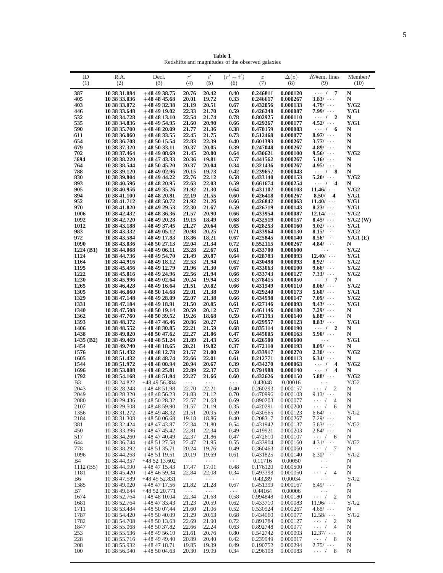**Table 1** Redshifts and magnitudes of the observed galaxies

<span id="page-4-0"></span>

| ID<br>(1)          | R.A.<br>(2)                  | Decl.<br>(3)                         | $r^\prime$<br>(4)             | i'<br>(5)           | $(r'-i')$<br>(6) | $\boldsymbol{z}$<br>(7) | $\Delta(z)$<br>(8)   | $R/\text{#em.}$ lines<br>(9)                    | Member?<br>(10)    |
|--------------------|------------------------------|--------------------------------------|-------------------------------|---------------------|------------------|-------------------------|----------------------|-------------------------------------------------|--------------------|
| 387                | 10 38 31.884                 | $+484938.75$                         | 20.76                         | 20.42               | 0.40             | 0.246811                | 0.000120             | $\overline{7}$<br>$\cdots$ /                    | N                  |
| 405                | 10 38 33.036                 | $+484845.68$                         | 20.01                         | 19.72               | 0.33             | 0.246617                | 0.000267             | 3.83/                                           | N                  |
| 403<br>446         | 10 38 33.072<br>10 38 33.648 | $+48$ 49 32.38<br>$+48$ 49 19.02     | 21.19<br>22.33                | 20.51<br>21.70      | 0.67<br>0.59     | 0.432056<br>0.426248    | 0.000133<br>0.000087 | 4.79/<br>$7.99/ \cdots$                         | Y/G2<br>Y/G1       |
| 532                | 10 38 34.728                 | $+484813.10$                         | 22.54                         | 21.74               | 0.78             | 0.802925                | 0.000110             | $\cdots$ / 2                                    | N                  |
| 535                | 10 38 34.836                 | $+484954.95$                         | 21.60                         | 20.90               | 0.66             | 0.429267                | 0.000177             | 4.52/                                           | Y/G1               |
| 590                | 10 38 35.700                 | $+48\,48\,20.09$                     | 21.77                         | 21.36               | 0.38             | 0.470159                | 0.000083             | $\cdots$ / 6                                    | N                  |
| 611<br>654         | 10 38 36.060<br>10 38 36.708 | $+484833.55$<br>$+485015.54$         | 22.45<br>22.83                | 21.75<br>22.39      | 0.73<br>0.40     | 0.512468<br>0.601393    | 0.000077<br>0.000267 | 8.97/<br>3.77/                                  | N<br>N             |
| 679                | 10 38 37.320                 | $+485033.11$                         | 20.37                         | 20.05               | 0.39             | 0.247048                | 0.000267             | 4.89/                                           | N                  |
| 702                | 10 38 37.464                 | $+484908.69$                         | 21.45                         | 20.80               | 0.64             | 0.430621                | 0.000100             | $9.56/ \cdots$                                  | Y/G2               |
| ă694<br>764        | 10 38 38.220                 | $+48$ 47 43.33                       | 20.36<br>20.37                | 19.81<br>20.04      | 0.57             | 0.441562<br>0.321436    | 0.000267             | $5.16/ \cdots$<br>4.95/                         | N<br>N             |
| 788                | 10 38 38.544<br>10 38 39.120 | $+485045.20$<br>$+484902.96$         | 20.15                         | 19.73               | 0.34<br>0.42     | 0.239652                | 0.000267<br>0.000043 | $\cdots$ / 8                                    | N                  |
| 830                | 10 38 39.804                 | $+48$ 49 44.22                       | 22.76                         | 22.12               | 0.58             | 0.433140                | 0.000153             | $5.20/ \cdots$                                  | Y/G2               |
| 893                | 10 38 40.596                 | $+484820.95$                         | 22.63                         | 22.03               | 0.59             | 0.661674                | 0.000254             | $\cdots$ / 4                                    | N                  |
| 905<br>894         | 10 38 40.956<br>10 38 41.100 | $+484935.26$<br>$+484820.81$         | 21.92<br>22.19                | 21.30<br>21.55      | 0.64<br>0.60     | 0.431102<br>0.426418    | 0.000103<br>0.000267 | 11.46/<br>8.50/<br>$\overline{\mathbf{4}}$      | Y/G2<br>Y/G1       |
| 952                | 10 38 41.712                 | $+484850.72$                         | 21.92                         | 21.26               | 0.66             | 0.426842                | 0.000063             | $11.40/ \cdots$                                 | Y/G1               |
| 970                | 10 38 41.820                 | $+48$ 49 29.53                       | 22.30                         | 21.67               | 0.59             | 0.426719                | 0.000143             | 8.23/                                           | Y/G1               |
| 1006               | 10 38 42.432                 | $+484836.36$                         | 21.57                         | 20.90               | 0.66             | 0.433954                | 0.000087             | 12.14/                                          | Y/G2               |
| 1092<br>1012       | 10 38 42,720<br>10 38 43.188 | $+484920.28$<br>$+48$ 49 37.45       | 19.15<br>21.27                | 18.49<br>20.64      | 0.68<br>0.65     | 0.432519<br>0.428253    | 0.000157<br>0.000160 | 8.45/<br>9.02/                                  | $Y/G2$ (W)<br>Y/G1 |
| 983                | 10 38 43.332                 | $+484905.12$                         | 20.98                         | 20.25               | 0.71             | 0.433964                | 0.000130             | $8.15/ \cdots$                                  | Y/G2               |
| 972                | 10 38 43.584                 | $+48$ 49 17.83                       | 18.86                         | 18.21               | 0.67             | 0.425845                | 0.000140             | 8.56/                                           | Y/G1(E)            |
| 1090               | 10 38 43.836                 | $+485027.13$                         | 22.04                         | 21.34               | 0.72             | 0.552115                | 0.000267             | $4.84/ \cdots$                                  | N                  |
| 1224(B1)<br>1124   | 10 38 44.068<br>10 38 44.736 | $+48$ 49 06.11<br>$+484954.70$       | 23.28<br>21.49                | 22.67<br>20.87      | 0.61<br>0.64     | 0.433700<br>0.428783    | 0.000600<br>0.000093 | $\cdots$<br>12.40/                              | Y/G2<br>Y/G1       |
| 1164               | 10 38 44.916                 | $+48$ 49 18.12                       | 22.53                         | 21.94               | 0.62             | 0.430498                | 0.000093             | 8.92/                                           | Y/G2               |
| 1195               | 10 38 45.456                 | $+484912.79$                         | 21.96                         | 21.30               | 0.67             | 0.433063                | 0.000100             | 9.66/                                           | Y/G2               |
| 1222               | 10 38 45.816                 | $+484924.96$                         | 22.56                         | 21.94               | 0.66             | 0.433743                | 0.000127             | 7.33/                                           | Y/G2               |
| 1230<br>1265       | 10 38 45.996<br>10 38 46.428 | $+48$ 49 02.64<br>$+48$ 49 16.64     | 20.24<br>21.51                | 19.94<br>20.82      | 0.33<br>0.66     | 0.378415<br>0.431549    | 0.000050<br>0.000110 | $\cdots$ / 7<br>$8.06/ \cdots$                  | N<br>Y/G2          |
| 1305               | 10 38 46.860                 | $+48\,50\,14.68$                     | 22.01                         | 21.38               | 0.59             | 0.429240                | 0.000173             | $5.60/ \cdots$                                  | Y/G1               |
| 1329               | 10 38 47.148                 | $+48$ 49 28.09                       | 22.07                         | 21.38               | 0.66             | 0.434998                | 0.000147             | $7.09/ \cdots$                                  | Y/G2               |
| 1331               | 10 38 47.184                 | $+48$ 49 18.91                       | 21.50                         | 20.85               | 0.61             | 0.427146                | 0.000093             | 9.43/                                           | Y/G1               |
| 1340<br>1362       | 10 38 47.508<br>10 38 47.760 | $+48\ 50\ 19.14$<br>$+48\ 50\ 39.52$ | 20.59<br>19.26                | 20.12<br>18.68      | 0.57<br>0.59     | 0.461146<br>0.471193    | 0.000180<br>0.000140 | 7.29/<br>6.88/                                  | N<br>N             |
| 1393               | 10 38 48.372                 | $+484746.46$                         | 20.86                         | 20.27               | 0.61             | 0.429957                | 0.000123             | 8.83/                                           | Y/G1               |
| 1406               | 10 38 48.552                 | $+484830.85$                         | 22.21                         | 21.59               | 0.68             | 0.835114                | 0.000190             | $\cdots$ / 2                                    | N                  |
| 1438               | 10 38 49.020                 | $+48\ 50\ 47.62$                     | 22.27                         | 21.86               | 0.47             | 0.445005                | 0.000163             | $5.90/ \cdots$                                  | N                  |
| 1435 (B2)<br>1454  | 10 38 49.469<br>10 38 49.740 | $+484851.24$<br>$+484818.65$         | 21.89<br>20.21                | 21.43<br>19.82      | 0.56<br>0.37     | 0.426500<br>0.472110    | 0.000600<br>0.000193 | $\cdots$<br>8.09/                               | Y/G1<br>N          |
| 1576               | 10 38 51.432                 | $+484812.78$                         | 21.57                         | 21.00               | 0.59             | 0.433917                | 0.000270             | 2.30/                                           | Y/G2               |
| 1605               | 10 38 51.432                 | $+484848.74$                         | 22.66                         | 22.01               | 0.61             | 0.212771                | 0.000113             | 6.34/                                           | N                  |
| 1544<br>1696       | 10 38 51.972                 | $+484800.94$                         | 20.94                         | 20.67               | 0.39             | 0.434270<br>0.791988    | 0.000063             | $\cdots$ / 4<br>$\cdots$ /<br>$\overline{4}$    | Y/G2<br>N          |
| 1792               | 10 38 53.088<br>10 38 54.168 | $+48\,48\,25.81$<br>$+484851.84$     | 22.89<br>22.27                | 22.37<br>21.66      | 0.33<br>0.60     | 0.432626                | 0.000140<br>0.000150 | 5.88/                                           | Y/G2               |
| B <sub>3</sub>     | 10 38 24.822                 | $+484956.384$                        | $\ldots$                      | $\ldots$            | $\cdots$         | 0.43048                 | 0.00016              | $\ldots$                                        | Y/G2               |
| 2043               | 10 38 28.248                 | $+484851.98$                         | 22.70                         | 22.21               | 0.40             | 0.260293                | 0.000157             | $\cdots$ /<br>2                                 | N                  |
| 2049<br>2080       | 10 38 28.320                 | $+484856.23$                         | 21.83                         | 21.12               | 0.70             | 0.470996<br>0.890203    | 0.000103             | $9.13/ \cdots$                                  | N                  |
| 2107               | 10 38 29.436<br>10 38 29.508 | $+485028.32$<br>$+484859.90$         | 22.57<br>21.57                | 21.68<br>21.19      | 0.69<br>0.35     | 0.420291                | 0.000077<br>0.000200 | $\cdots$ /<br>$\overline{4}$<br>$\cdots$ /<br>6 | N<br>N             |
| 1356               | 10 38 31.272                 | $+48$ 49 48.32                       | 21.51                         | 20.95               | 0.59             | 0.430565                | 0.000123             | $6.64/ \cdots$                                  | Y/G2               |
| 2184               | 10 38 31.308                 | $+485006.68$                         | 19.18                         | 18.86               | 0.40             | 0.208317                | 0.000267             | $7.29/ \cdots$                                  | Ν                  |
| 381                | 10 38 32.424                 | $+48$ 47 43.87                       | 22.34<br>22.81                | 21.80               | 0.54             | 0.431942                | 0.000137             | $5.63/ \cdots$<br>2.84/                         | Y/G2               |
| 450<br>517         | 10 38 33.396<br>10 38 34.260 | $+484745.42$<br>$+48$ 47 40.49       | 22.37                         | 22.34<br>21.86      | 0.49<br>0.47     | 0.419921<br>0.472610    | 0.000203<br>0.000107 | $\cdots / 6$                                    | Ν<br>N             |
| 644                | 10 38 36.744                 | $+485127.58$                         | 22.47                         | 21.95               | 0.55             | 0.433904                | 0.000160             | $4.31/ \cdots$                                  | Y/G2               |
| 778                | 10 38 38.292                 | $+485135.71$                         | 20.24                         | 19.76               | 0.49             | 0.360463                | 0.000060             | $\cdots$ / 7                                    | Ν                  |
| 1096<br><b>B</b> 4 | 10 38 44.268<br>10 38 44.357 | $+485119.51$<br>+48 52 13.602        | 20.19<br>$\sim$ $\sim$ $\sim$ | 19.69<br>$\ldots$ . | 0.61<br>$\ldots$ | 0.431825                | 0.000140<br>0.00050  | $6.30/ \cdots$<br>$\ldots$ .                    | Y/G2               |
| 1112(B5)           | 10 38 44.990                 | $+484715.43$                         | 17.47                         | 17.01               | 0.48             | 0.11716<br>0.176120     | 0.000500             | $\cdots$                                        | Ν<br>Ν             |
| 1181               | 10 38 45.420                 | $+484659.34$                         | 22.84                         | 22.08               | 0.34             | 0.493398                | 0.000050             | $\cdots$ / 4                                    | N                  |
| <b>B6</b>          | 10 38 47.589                 | $+484552.831$                        | $\sim$ $\sim$ $\sim$          | $\ldots$ .          | $\ldots$         | 0.43289                 | 0.00034              | $\ldots$                                        | Y/G2               |
| 1385               | 10 38 49.020                 | $+484717.56$                         | 21.82                         | 21.28               | 0.67             | 0.451399                | 0.000167             | $6.49/ \cdots$<br>$\ldots$ .                    | Ν                  |
| B7<br>1674         | 10 38 49.644<br>10 38 52.764 | +48 52 20.771<br>$+484810.04$        | $\ldots$<br>22.34             | $\ldots$<br>21.68   | $\ldots$<br>0.58 | 0.44164<br>0.994848     | 0.00006<br>0.000180  | $\cdots$ /<br>$\overline{2}$                    | N<br>N             |
| 1681               | 10 38 52.764                 | $+484733.43$                         | 21.23                         | 20.59               | 0.62             | 0.433710                | 0.000083             | $11.96/ \cdots$                                 | Y/G2               |
| 1711               | 10 38 53.484                 | $+485007.44$                         | 21.60                         | 21.06               | 0.52             | 0.530524                | 0.000267             | $4.68/ \cdots$                                  | Ν                  |
| 1787               | 10 38 54.420                 | $+485040.09$                         | 21.29                         | 20.63               | 0.68             | 0.434060                | 0.000077             | $12.58/ \cdots$                                 | Y/G2               |
| 1782<br>1847       | 10 38 54.708<br>10 38 55.068 | $+485013.63$<br>$+485037.82$         | 22.69<br>22.66                | 21.90<br>22.24      | 0.72<br>0.63     | 0.891784<br>0.892748    | 0.000127<br>0.000077 | $\cdots$ / 2<br>$\cdots$ /<br>$\overline{4}$    | N<br>N             |
| 253                | 10 38 55.536                 | $+484956.10$                         | 21.61                         | 20.76               | 0.80             | 0.542742                | 0.000093             | 12.37/                                          | N                  |
| 228                | 10 38 55.716                 | $+48494940$                          | 20.89                         | 20.40               | 0.42             | 0.239949                | 0.000017             | $\cdots$ / 8                                    | N                  |
| 208                | 10 38 55.932                 | $+48$ 47 18.71                       | 19.85                         | 19.39               | 0.49             | 0.190752                | 0.000294             | 2.75/                                           | N                  |
| 100                | 10 38 56.940                 | $+485004.63$                         | 20.30                         | 19.99               | 0.34             | 0.296108                | 0.000083             | $\cdots$ / 8                                    | N                  |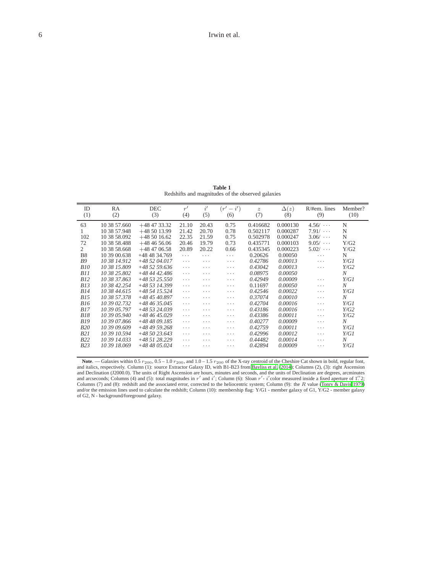**Table 1** Redshifts and magnitudes of the observed galaxies

| ID         | RA           | DEC           | r'       | i'       | $(r'-i')$ | $\boldsymbol{z}$ | $\Delta(z)$ | $R/\text{#em}$ . lines | Member?          |
|------------|--------------|---------------|----------|----------|-----------|------------------|-------------|------------------------|------------------|
| (1)        | (2)          | (3)           | (4)      | (5)      | (6)       | (7)              | (8)         | (9)                    | (10)             |
|            |              |               |          |          |           |                  |             |                        |                  |
| 63         | 10 38 57.660 | $+48473332$   | 21.10    | 20.43    | 0.75      | 0.416682         | 0.000130    | $4.56/ \cdots$         | N                |
|            | 10 38 57.948 | $+485013.99$  | 21.42    | 20.70    | 0.78      | 0.502117         | 0.000287    | 7.91/                  | N                |
| 102        | 10 38 58.092 | $+48501662$   | 22.35    | 21.59    | 0.75      | 0.502978         | 0.000247    | $3.06/ \cdots$         | N                |
| 72         | 10 38 58.488 | $+48465606$   | 20.46    | 19.79    | 0.73      | 0.435771         | 0.000103    | $9.05/ \cdots$         | Y/G2             |
| 2          | 10 38 58.668 | $+484706.58$  | 20.89    | 20.22    | 0.66      | 0.435345         | 0.000223    | 5.02/                  | Y/G2             |
| <b>B8</b>  | 10 39 00.638 | +48 48 34.769 | $\cdots$ | .        | $\cdots$  | 0.20626          | 0.00050     | $\cdots$               | N                |
| <b>B9</b>  | 10 38 14.912 | +48 52 04.017 | $\cdots$ | .        | $\cdots$  | 0.42786          | 0.00013     | $\cdots$               | Y/GI             |
| <b>B10</b> | 10 38 15,809 | $+485259636$  | $\cdots$ | .        | $\cdots$  | 0.43042          | 0.00013     | $\cdots$               | Y/G2             |
| B11        | 10 38 25,802 | +48 44 42.486 | $\cdots$ | .        | $\cdots$  | 0.08975          | 0.00050     |                        | $\boldsymbol{N}$ |
| B12        | 10 38 37.863 | $+485325.550$ | $\cdots$ | .        | $\cdots$  | 0.42949          | 0.00009     | $\cdots$               | Y/GI             |
| B13        | 10 38 42.254 | +48 53 14.399 | $\cdots$ | .        | $\cdots$  | 0.11697          | 0.00050     | $\cdots$               | N                |
| B14        | 10 38 44,615 | +48 54 15.524 | $\cdots$ | .        | $\cdots$  | 0.42546          | 0.00022     | $\cdots$               | Y/GI             |
| B15        | 10 38 57.378 | $+484540.897$ | $\cdots$ | $\cdots$ | $\cdots$  | 0.37074          | 0.00010     | $\cdots$               | N                |
| <i>B16</i> | 10 39 02.732 | $+484635.045$ | $\cdots$ | $\cdots$ | $\cdots$  | 0.42704          | 0.00016     | $\cdots$               | Y/GI             |
| B17        | 10 39 05 797 | +48 53 24.039 | $\cdots$ | $\cdots$ | $\cdots$  | 0.43186          | 0.00016     | $\cdots$               | Y/G2             |
| B18        | 10 39 05.940 | $+484645029$  | $\cdots$ | $\cdots$ | $\cdots$  | 0.43386          | 0.00011     | $\cdots$               | Y/G2             |
| <i>B19</i> | 10 39 07.866 | +48 48 09.185 | $\cdots$ | $\cdots$ | $\cdots$  | 0.40277          | 0.00009     | $\cdots$               | N                |
| <b>B20</b> | 10 39 09,609 | $+484959268$  | $\cdots$ | $\cdots$ | $\cdots$  | 0.42759          | 0.00011     | $\cdots$               | Y/GI             |
| B21        | 10 39 10.594 | $+485023643$  | $\cdots$ | $\cdots$ | $\cdots$  | 0.42996          | 0.00012     | .                      | Y/GI             |
| B22        | 10 39 14.033 | +48 51 28.229 | $\cdots$ | $\cdots$ | $\cdots$  | 0.44482          | 0.00014     | $\cdots$               | N                |
| B23        | 10 39 18.069 | $+484805.024$ | $\cdots$ | $\cdots$ | $\cdots$  | 0.42894          | 0.00009     | $\cdots$               | Y/GI             |
|            |              |               |          |          |           |                  |             |                        |                  |

**Note**. — Galaxies within 0.5  $r_{200}$ , 0.5 – 1.0  $r_{200}$ , and 1.0 – 1.5  $r_{200}$  of the X-ray centroid of the Cheshire Cat shown in bold, regular font, and italics, respectively. Column (1): source Extractor Galaxy ID, and arcseconds; Columns (4) and (5): total magnitudes in  $r'$  and  $i'$ ; Column (6): Sloan  $r'$ -  $i'$  color measured inside a fixed aperture of 1''2; Columns (7) and (8): redshift and the associated error, corrected to the heliocentric system; Column (9): the  $R$  value [\(Tonry & Davis 1979\)](#page-14-33) and/or the emission lines used to calculate the redshift; Column (10): membership flag: Y/G1 - member galaxy of G1, Y/G2 - member galaxy of G2, N - background/foreground galaxy.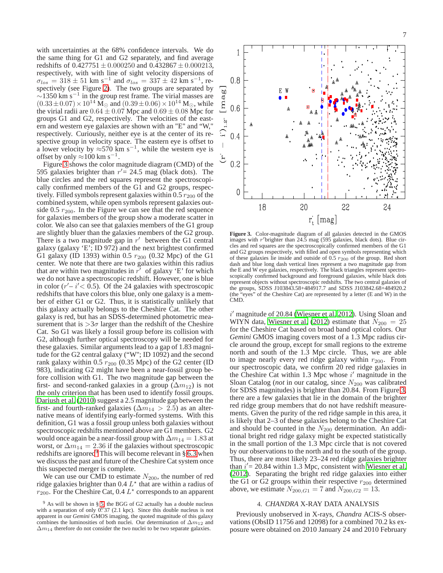with uncertainties at the 68% confidence intervals. We do the same thing for G1 and G2 separately, and find average redshifts of  $0.427751 \pm 0.000250$  and  $0.432867 \pm 0.000213$ , respectively, with with line of sight velocity dispersions of  $\sigma_{los} = 318 \pm 51$  km s<sup>-1</sup> and  $\sigma_{los} = 337 \pm 42$  km s<sup>-1</sup>, respectively (see Figure [2\)](#page-3-0). The two groups are separated by  $\sim$ 1350 km s<sup>-1</sup> in the group rest frame. The virial masses are  $(0.33\pm0.07)\times10^{14}$  M<sub>☉</sub> and  $(0.39\pm0.06)\times10^{14}$  M<sub>☉</sub>, while the virial radii are  $0.64 \pm 0.07$  Mpc and  $0.69 \pm 0.08$  Mpc for groups G1 and G2, respectively. The velocities of the eastern and western eye galaxies are shown with an "E" and "W," respectively. Curiously, neither eye is at the center of its respective group in velocity space. The eastern eye is offset to a lower velocity by  $\approx$ 570 km s<sup>-1</sup>, while the western eye is offset by only  $\approx 100$  km s<sup>-1</sup>.

Figure [3](#page-6-1) shows the color magnitude diagram (CMD) of the 595 galaxies brighter than  $r' = 24.5$  mag (black dots). The blue circles and the red squares represent the spectroscopically confirmed members of the G1 and G2 groups, respectively. Filled symbols represent galaxies within  $0.5 r_{200}$  of the combined system, while open symbols represent galaxies outside 0.5  $r_{200}$ . In the Figure we can see that the red sequence for galaxies members of the group show a moderate scatter in color. We also can see that galaxies members of the G1 group are slightly bluer than the galaxies members of the G2 group. There is a two magnitude gap in  $r'$  between the G1 central galaxy (galaxy 'E'; ID 972) and the next brightest confirmed G1 galaxy (ID 1393) within 0.5  $r_{200}$  (0.32 Mpc) of the G1 center. We note that there are two galaxies within this radius that are within two magnitudes in  $r'$  of galaxy 'E' for which we do not have a spectroscopic redshift. However, one is blue in color  $(r'-i' < 0.5)$ . Of the 24 galaxies with spectroscopic redshifts that have colors this blue, only one galaxy is a member of either G1 or G2. Thus, it is statistically unlikely that this galaxy actually belongs to the Cheshire Cat. The other galaxy is red, but has an SDSS-determined photometric measurement that is  $>3\sigma$  larger than the redshift of the Cheshire Cat. So G1 was likely a fossil group before its collision with G2, although further optical spectroscopy will be needed for these galaxies. Similar arguments lead to a gap of 1.83 magnitude for the G2 central galaxy ("W"; ID 1092) and the second rank galaxy within 0.5  $r_{200}$  (0.35 Mpc) of the G2 center (ID 983), indicating G2 might have been a near-fossil group before collision with G1. The two magnitude gap between the first- and second-ranked galaxies in a group ( $\Delta m_{12}$ ) is not the only criterion that has been used to identify fossil groups. [Dariush et al. \(2010\)](#page-14-24) suggest a 2.5 magnitude gap between the first- and fourth-ranked galaxies ( $\Delta m_{14} > 2.5$ ) as an alternative means of identifying early-formed systems. With this definition, G1 was a fossil group unless both galaxies without spectroscopic redshifts mentioned above are G1 members. G2 would once again be a near-fossil group with  $\Delta m_{14} = 1.83$  at worst, or  $\Delta m_{14} = 2.36$  if the galaxies without spectroscopic redshifts are ignored<sup>9</sup> This will become relevant in  $\S$  [6.3](#page-11-0) when we discuss the past and future of the Cheshire Cat system once this suspected merger is complete.

We can use our CMD to estimate  $N_{200}$ , the number of red ridge galaxies brighter than  $0.4 L<sup>*</sup>$  that are within a radius of  $r_{200}$ . For the Cheshire Cat, 0.4  $L^*$  corresponds to an apparent



<span id="page-6-1"></span>**Figure 3.** Color-magnitude diagram of all galaxies detected in the GMOS images with r'brighter than 24.5 mag (595 galaxies, black dots). Blue circles and red squares are the spectroscopically confirmed members of the G1 and G2 groups respectively, with filled and open symbols representing which of these galaxies lie inside and outside of  $0.5 r_{200}$  of the group. Red short dash and blue long dash vertical lines represent a two magnitude gap from the E and W eye galaxies, respectively. The black triangles represent spectroscopically confirmed background and foreground galaxies, while black dots represent objects without spectroscopic redshifts. The two central galaxies of the groups, SDSS J103843.58+484917.7 and SDSS J103842.68+484920.2 (the "eyes" of the Cheshire Cat) are represented by a letter (E and W) in the CMD.

i ′ magnitude of 20.84 [\(Wiesner et al. 2012](#page-14-30)). Using Sloan and WIYN data, [Wiesner et al.](#page-14-30) [\(2012\)](#page-14-30) estimate that  $N_{200} = 25$ for the Cheshire Cat based on broad band optical colors. Our *Gemini* GMOS imaging covers most of a 1.3 Mpc radius circle around the group, except for small regions to the extreme north and south of the 1.3 Mpc circle. Thus, we are able to image nearly every red ridge galaxy within  $r_{200}$ . From our spectroscopic data, we confirm 20 red ridge galaxies in the Cheshire Cat within 1.3 Mpc whose  $i'$  magnitude in the Sloan Catalog (*not* in our catalog, since  $N_{200}$  was calibrated for SDSS magnitudes) is brighter than 20.84. From Figure [3,](#page-6-1) there are a few galaxies that lie in the domain of the brighter red ridge group members that do not have redshift measurements. Given the purity of the red ridge sample in this area, it is likely that 2–3 of these galaxies belong to the Cheshire Cat and should be counted in the  $N_{200}$  determination. An additional bright red ridge galaxy might be expected statistically in the small portion of the 1.3 Mpc circle that is not covered by our observations to the north and to the south of the group. Thus, there are most likely 23–24 red ridge galaxies brighter than  $i' = 20.84$  within 1.3 Mpc, consistent with [Wiesner et al.](#page-14-30) [\(2012\)](#page-14-30). Separating the bright red ridge galaxies into either the G1 or G2 groups within their respective  $r_{200}$  determined above, we estimate  $N_{200,G1} = 7$  and  $N_{200,G2} = 13$ .

### 4. *CHANDRA* X-RAY DATA ANALYSIS

<span id="page-6-0"></span>Previously unobserved in X-rays, *Chandra* ACIS-S observations (ObsID 11756 and 12098) for a combined 70.2 ks exposure were obtained on 2010 January 24 and 2010 February

 $9$  As will be shown in § [5,](#page-7-0) the BGG of G2 actually has a double nucleus with a separation of only  $0.^{\prime\prime}37$  (2.1 kpc). Since this double nucleus is not apparent in our *Gemini* GMOS imaging, the quoted magnitude of this galaxy combines the luminosities of both nuclei. Our determination of  $\Delta m_{12}$  and  $\Delta m_{14}$  therefore do not consider the two nuclei to be two separate galaxies.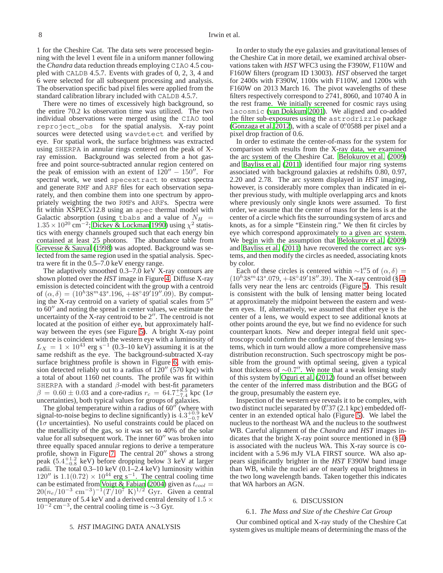1 for the Cheshire Cat. The data sets were processed beginning with the level 1 event file in a uniform manner following the *Chandra* data reduction threads employing CIAO 4.5 coupled with CALDB 4.5.7. Events with grades of 0, 2, 3, 4 and 6 were selected for all subsequent processing and analysis. The observation specific bad pixel files were applied from the standard calibration library included with CALDB 4.5.7.

There were no times of excessively high background, so the entire 70.2 ks observation time was utilized. The two individual observations were merged using the CIAO tool reproject\_obs for the spatial analysis. X-ray point sources were detected using wavdetect and verified by eye. For spatial work, the surface brightness was extracted using SHERPA in annular rings centered on the peak of Xray emission. Background was selected from a hot gasfree and point source-subtracted annular region centered on the peak of emission with an extent of  $120'' - 150''$ . For spectral work, we used specextract to extract spectra and generate RMF and ARF files for each observation separately, and then combine them into one spectrum by appropriately weighting the two RMFs and ARFs. Spectra were fit within XSPECv12.8 using an apec thermal model with Galactic absorption (using tbabs and a value of  $N_H$  =  $1.35 \times 10^{20}$  cm<sup>-2</sup>; [Dickey & Lockman 1990\)](#page-14-38) using  $\chi^2$  statistics with energy channels grouped such that each energy bin contained at least 25 photons. The abundance table from [Grevesse & Sauval \(1998\)](#page-14-39) was adopted. Background was selected from the same region used in the spatial analysis. Spectra were fit in the 0.5–7.0 keV energy range.

The adaptively smoothed 0.3–7.0 keV X-ray contours are shown plotted over the *HST* image in Figure [4.](#page-8-0) Diffuse X-ray emission is detected coincident with the group with a centroid of  $(\alpha, \delta) = (10^h 38^m 43^s 0.196, +48°49'19''.09)$ . By computing the X-ray centroid on a variety of spatial scales from 5′′ to 60′′ and noting the spread in center values, we estimate the uncertainty of the X-ray centroid to be  $2''$ . The centroid is not located at the position of either eye, but approximately halfway between the eyes (see Figure [5\)](#page-9-0). A bright X-ray point source is coincident with the western eye with a luminosity of  $L_X = 1 \times 10^{43}$  erg s<sup>-1</sup> (0.3–10 keV) assuming it is at the same redshift as the eye. The background-subtracted X-ray surface brightness profile is shown in Figure [6,](#page-10-0) with emission detected reliably out to a radius of 120′′ (570 kpc) with a total of about 1160 net counts. The profile was fit within SHERPA with a standard  $\beta$ -model with best-fit parameters  $β = 0.60 ± 0.03$  and a core-radius  $r_c = 64.7^{+8.5}_{-7.4}$  kpc (1σ uncertainties), both typical values for groups of galaxies.

The global temperature within a radius of  $60''$  (where with signal-to-noise begins to decline significantly) is  $4.3^{+0.9}_{-0.7}$  keV  $(1\sigma$  uncertainties). No useful constraints could be placed on the metallicity of the gas, so it was set to 40% of the solar value for all subsequent work. The inner 60′′ was broken into three equally spaced annular regions to derive a temperature profile, shown in Figure [7.](#page-10-1) The central 20′′ shows a strong peak  $(5.4^{+1.2}_{-0.8}$  keV) before dropping below 3 keV at larger radii. The total 0.3–10 keV (0.1–2.4 keV) luminosity within  $120''$  is  $1.1(0.72) \times 10^{44}$  erg s<sup>-1</sup>. The central cooling time can be estimated from [Voigt & Fabian](#page-14-40) [\(2004\)](#page-14-40) given as  $t_{cool}$  =  $20(n_e/10^{-3} \text{ cm}^{-3})^{-1}(T/10^7 \text{ K})^{1/2} \text{ Gyr.}$  Given a central temperature of 5.4 keV and a derived central density of 1.5  $\times$  $10^{-2}$  cm<sup>-3</sup>, the central cooling time is ~3 Gyr.

In order to study the eye galaxies and gravitational lenses of the Cheshire Cat in more detail, we examined archival observations taken with *HST* WFC3 using the F390W, F110W and F160W filters (program ID 13003). *HST* observed the target for 2400s with F390W, 1100s with F110W, and 1200s with F160W on 2013 March 16. The pivot wavelengths of these filters respectively correspond to 2741, 8060, and 10740 Å in the rest frame. We initially screened for cosmic rays using lacosmic [\(van Dokkum 2001\)](#page-14-41). We aligned and co-added the filter sub-exposures using the astrodrizzle package [\(Gonzaga et al. 2012\)](#page-14-42), with a scale of 0' 0588 per pixel and a pixel drop fraction of 0.6.

In order to estimate the center-of-mass for the system for comparison with results from the X-ray data, we examined the arc system of the Cheshire Cat. [Belokurov et al.](#page-14-26) [\(2009\)](#page-14-26) and [Bayliss et al. \(2011](#page-14-28)) identified four major ring systems associated with background galaxies at redshifts 0.80, 0.97, 2.20 and 2.78. The arc system displayed in *HST* imaging, however, is considerably more complex than indicated in either previous study, with multiple overlapping arcs and knots where previously only single knots were assumed. To first order, we assume that the center of mass for the lens is at the center of a circle which fits the surrounding system of arcs and knots, as for a simple "Einstein ring." We then fit circles by eye which correspond approximately to a given arc system. We begin with the assumption that [Belokurov et al.](#page-14-26) [\(2009\)](#page-14-26) and [Bayliss et al. \(2011](#page-14-28)) have recovered the correct arc systems, and then modify the circles as needed, associating knots by color.

Each of these circles is centered within  $\sim$ 1".5 of  $(\alpha, \delta)$  =  $(10<sup>h</sup>38<sup>m</sup>43<sup>s</sup> .079, +48°49'18''.39)$ . The X-ray centroid (§ [4\)](#page-6-0) falls very near the lens arc centroids (Figure [5\)](#page-9-0). This result is consistent with the bulk of lensing matter being located at approximately the midpoint between the eastern and western eyes. If, alternatively, we assumed that either eye is the center of a lens, we would expect to see additional knots at other points around the eye, but we find no evidence for such counterpart knots. New and deeper integral field unit spectroscopy could confirm the configuration of these lensing systems, which in turn would allow a more comprehensive mass distribution reconstruction. Such spectroscopy might be possible from the ground with optimal seeing, given a typical knot thickness of ∼0.7 ′′. We note that a weak lensing study of this system by [Oguri et al.](#page-14-29) [\(2012\)](#page-14-29) found an offset between the center of the inferred mass distribution and the BGG of the group, presumably the eastern eye.

Inspection of the western eye reveals it to be complex, with two distinct nuclei separated by 0''37 (2.1 kpc) embedded offcenter in an extended optical halo (Figure [5\)](#page-9-0). We label the nucleus to the northeast WA and the nucleus to the southwest WB. Careful alignment of the *Chandra* and *HST* images indicates that the bright X-ray point source mentioned in  $(\S 4)$  $(\S 4)$ is associated with the nucleus WA. This X-ray source is coincident with a 5.96 mJy VLA FIRST source. WA also appears significantly brighter in the *HST* F390W band image than WB, while the nuclei are of nearly equal brightness in the two long wavelength bands. Taken together this indicates that WA harbors an AGN.

### 6. DISCUSSION

#### <span id="page-7-2"></span><span id="page-7-1"></span>6.1. *The Mass and Size of the Cheshire Cat Group*

Our combined optical and X-ray study of the Cheshire Cat system gives us multiple means of determining the mass of the

# <span id="page-7-0"></span>5. *HST* IMAGING DATA ANALYSIS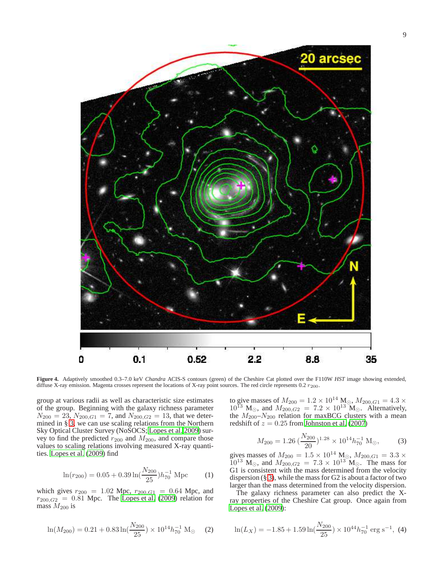

<span id="page-8-0"></span>**Figure 4.** Adaptively smoothed 0.3–7.0 keV *Chandra* ACIS-S contours (green) of the Cheshire Cat plotted over the F110W *HST* image showing extended, diffuse X-ray emission. Magenta crosses represent the locations of X-ray point sources. The red circle represents 0.2  $r_{200}$ .

group at various radii as well as characteristic size estimates of the group. Beginning with the galaxy richness parameter  $N_{200} = 23$ ,  $N_{200,G1} = 7$ , and  $N_{200,G2} = 13$ , that we determined in § [3,](#page-1-1) we can use scaling relations from the Northern Sky Optical Cluster Survey (NoSOCS; [Lopes et al. 2009\)](#page-14-43) survey to find the predicted  $r_{200}$  and  $M_{200}$ , and compare those values to scaling relations involving measured X-ray quantities. [Lopes et al. \(2009](#page-14-43)) find

$$
\ln(r_{200}) = 0.05 + 0.39 \ln(\frac{N_{200}}{25}) h_{70}^{-1} \text{ Mpc}
$$
 (1)

which gives  $r_{200} = 1.02$  Mpc,  $r_{200,G1} = 0.64$  Mpc, and  $r_{200,G2} = 0.81$  Mpc. The [Lopes et al. \(2009\)](#page-14-43) relation for mass  $M_{200}$  is

$$
\ln(M_{200}) = 0.21 + 0.83 \ln(\frac{N_{200}}{25}) \times 10^{14} h_{70}^{-1} \text{ M}_{\odot} \quad (2)
$$

to give masses of  $M_{200} = 1.2 \times 10^{14}$  M<sub>o</sub>,  $M_{200,G1} = 4.3 \times$  $10^{13}$  M<sub>☉</sub>, and  $M_{200,G2} = 7.2 \times 10^{13}$  M<sub>☉</sub>. Alternatively, the  $M_{200} - N_{200}$  relation for maxBCG clusters with a mean redshift of  $z = 0.25$  from [Johnston et al.](#page-14-44) [\(2007\)](#page-14-44)

$$
M_{200} = 1.26 \left(\frac{N_{200}}{20}\right)^{1.28} \times 10^{14} h_{70}^{-1} \text{ M}_{\odot},\tag{3}
$$

gives masses of  $M_{200} = 1.5 \times 10^{14}$  M<sub>o</sub>,  $M_{200,G1} = 3.3 \times$  $10^{13}$  M<sub>☉</sub>, and  $M_{200,G2} = 7.3 \times 10^{13}$  M<sub>☉</sub>. The mass for G1 is consistent with the mass determined from the velocity dispersion (§ [3\)](#page-1-1), while the mass for G2 is about a factor of two larger than the mass determined from the velocity dispersion.

The galaxy richness parameter can also predict the Xray properties of the Cheshire Cat group. Once again from [Lopes et al.](#page-14-43) [\(2009\)](#page-14-43):

$$
\ln(L_X) = -1.85 + 1.59 \ln(\frac{N_{200}}{25}) \times 10^{44} h_{70}^{-1} \text{ erg s}^{-1}, \text{ (4)}
$$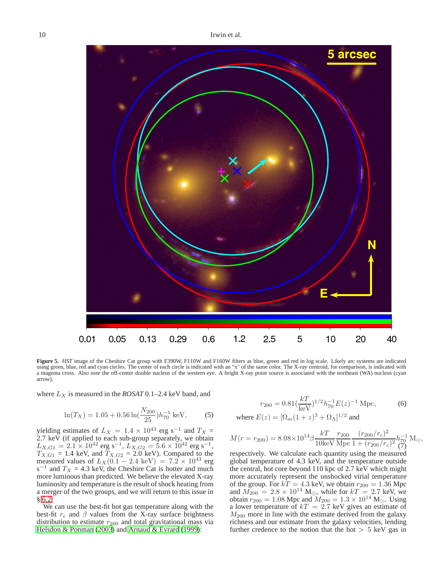

<span id="page-9-0"></span>**Figure 5.** *HST* image of the Cheshire Cat group with F390W, F110W and F160W filters as blue, green and red in log scale. Likely arc systems are indicated using green, blue, red and cyan circles. The center of each circle is indicated with an "x" of the same color. The X-ray centroid, for comparison, is indicated with a magenta cross. Also note the off-center double nucleus of the western eye. A bright X-ray point source is associated with the northeast (WA) nucleus (cyan arrow).

where  $L_X$  is measured in the *ROSAT* 0.1–2.4 keV band, and

$$
\ln(T_X) = 1.05 + 0.56 \ln(\frac{N_{200}}{25}) h_{70}^{-1} \text{ keV}, \quad (5)
$$

yielding estimates of  $L_X = 1.4 \times 10^{43}$  erg s<sup>-1</sup> and  $T_X =$ 2.7 keV (if applied to each sub-group separately, we obtain  $L_{X,G1} = 2.1 \times 10^{42}$  erg s<sup>-1</sup>,  $L_{X,G2} = 5.6 \times 10^{42}$  erg s<sup>-1</sup>,  $T_{X,G1} = 1.4$  keV, and  $T_{X,G2} = 2.0$  keV). Compared to the measured values of  $L_X(0.1 - 2.4 \text{ keV}) = 7.2 \times 10^{43} \text{ erg}$  $s^{-1}$  and  $T_X = 4.3$  keV, the Cheshire Cat is hotter and much more luminous than predicted. We believe the elevated X-ray luminosity and temperature is the result of shock heating from a merger of the two groups, and we will return to this issue in § [6.2.](#page-10-2)

We can use the best-fit hot gas temperature along with the best-fit  $r_c$  and  $\beta$  values from the X-ray surface brightness distribution to estimate  $r_{200}$  and total gravitational mass via [Helsdon & Ponman \(2003](#page-14-45)) and [Arnaud & Evrard \(1999](#page-14-46)):

$$
r_{200} = 0.81 \left(\frac{kT}{keV}\right)^{1/2} h_{70}^{-1} E(z)^{-1} \text{ Mpc},\tag{6}
$$

where 
$$
E(z) = [\Omega_m(1+z)^3 + \Omega_{\Lambda}]^{1/2}
$$
 and

$$
M(r=r_{200})=8.08\times10^{14}\beta\frac{kT}{10{\rm keV}}\frac{r_{200}}{\rm Mpc}\frac{(r_{200}/r_c)^2}{1+(r_{200}/r_c)^2}\frac{h_{70}^{-1}}{(7)}{\rm M_\odot},
$$

respectively. We calculate each quantity using the measured global temperature of 4.3 keV, and the temperature outside the central, hot core beyond 110 kpc of 2.7 keV which might more accurately represent the unshocked virial temperature of the group. For  $kT = 4.3$  keV, we obtain  $r_{200} = 1.36$  Mpc and  $\widetilde{M}_{200} = 2.8 \times 10^{14}$  M<sub>☉</sub>, while for  $kT = 2.7$  keV, we obtain  $r_{200} = 1.08$  Mpc and  $M_{200} = 1.3 \times 10^{14}$  M<sub>☉</sub>. Using a lower temperature of  $kT = 2.7$  keV gives an estimate of  $M_{200}$  more in line with the estimate derived from the galaxy richness and our estimate from the galaxy velocities, lending further credence to the notion that the hot  $> 5$  keV gas in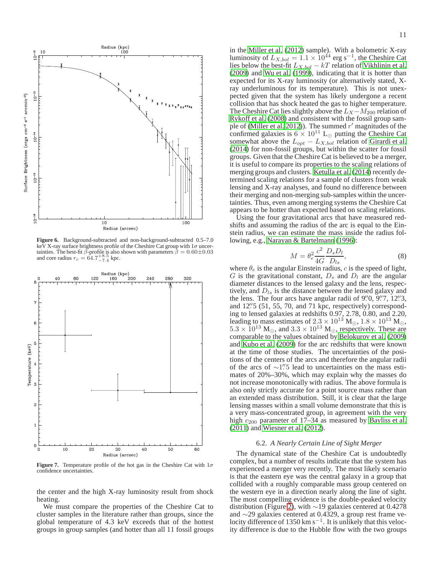

<span id="page-10-0"></span>**Figure 6.** Background-subtracted and non-background-subtracted 0.5–7.0 keV X-ray surface brightness profile of the Cheshire Cat group with  $1\sigma$  uncertainties. The best-fit  $\beta$ -profile is also shown with parameters  $\dot{\beta} = 0.60 \pm 0.03$ and core radius  $r_c = 64.7^{+8.5}_{-7.4}$  kpc.



<span id="page-10-1"></span>**Figure 7.** Temperature profile of the hot gas in the Cheshire Cat with  $1\sigma$ confidence uncertainties.

the center and the high X-ray luminosity result from shock heating.

We must compare the properties of the Cheshire Cat to cluster samples in the literature rather than groups, since the global temperature of 4.3 keV exceeds that of the hottest groups in group samples (and hotter than all 11 fossil groups

in the [Miller et al. \(2012\)](#page-14-16) sample). With a bolometric X-ray luminosity of  $L_{X,bol} = 1.1 \times 10^{44}$  erg s<sup>-1</sup>, the Cheshire Cat lies below the best-fit  $L_{X,bol} - kT$  relation of [Vikhlinin et al.](#page-14-47) [\(2009\)](#page-14-47) and [Wu et al. \(1999\)](#page-14-48), indicating that it is hotter than expected for its X-ray luminosity (or alternatively stated, Xray underluminous for its temperature). This is not unexpected given that the system has likely undergone a recent collision that has shock heated the gas to higher temperature. The Cheshire Cat lies slightly above the  $L_X - M_{200}$  relation of [Rykoff et al. \(2008](#page-14-49)) and consistent with the fossil group sam-ple of [\(Miller et al. 2012\)](#page-14-16)). The summed  $r'$  magnitudes of the confirmed galaxies is  $6 \times 10^{11}$  L<sub>⊙</sub> putting the Cheshire Cat somewhat above the  $L_{opt} - L_{X,bol}$  relation of [Girardi et al.](#page-14-19) [\(2014\)](#page-14-19) for non-fossil groups, but within the scatter for fossil groups. Given that the Cheshire Cat is believed to be a merger, it is useful to compare its properties to the scaling relations of merging groups and clusters. [Ketulla et al. \(2014\)](#page-14-50) recently determined scaling relations for a sample of clusters from weak lensing and X-ray analyses, and found no difference between their merging and non-merging sub-samples within the uncertainties. Thus, even among merging systems the Cheshire Cat appears to be hotter than expected based on scaling relations.

Using the four gravitational arcs that have measured redshifts and assuming the radius of the arc is equal to the Einstein radius, we can estimate the mass inside the radius following, e.g., [Narayan & Bartelmann \(1996](#page-14-51)):

$$
M = \theta_e^2 \frac{c^2}{4G} \frac{D_s D_l}{D_{ls}},\tag{8}
$$

where  $\theta_e$  is the angular Einstein radius, c is the speed of light, G is the gravitational constant,  $D_s$  and  $D_l$  are the angular diameter distances to the lensed galaxy and the lens, respectively, and  $D_{ls}$  is the distance between the lensed galaxy and the lens. The four arcs have angular radii of  $9''/0$ ,  $9''/7$ ,  $12''3$ , and 12" 5 (51, 55, 70, and 71 kpc, respectively) corresponding to lensed galaxies at redshifts 0.97, 2.78, 0.80, and 2.20, leading to mass estimates of  $2.3 \times 10^{13}$  M<sub>☉</sub>,  $1.8 \times 10^{13}$  M<sub>☉</sub>,  $5.3 \times 10^{13}$  M<sub>☉</sub>, and  $3.3 \times 10^{13}$  M<sub>☉</sub>, respectively. These are comparable to the values obtained by [Belokurov et al.](#page-14-26) [\(2009\)](#page-14-26) and [Kubo et al. \(2009\)](#page-14-27) for the arc redshifts that were known at the time of those studies. The uncertainties of the positions of the centers of the arcs and therefore the angular radii of the arcs of ∼1."<sup>5</sup> lead to uncertainties on the mass estimates of 20%–30%, which may explain why the masses do not increase monotonically with radius. The above formula is also only strictly accurate for a point source mass rather than an extended mass distribution. Still, it is clear that the large lensing masses within a small volume demonstrate that this is a very mass-concentrated group, in agreement with the very high  $c_{200}$  parameter of 17–34 as measured by [Bayliss et al.](#page-14-28) [\(2011\)](#page-14-28) and [Wiesner et al. \(2012\)](#page-14-30).

### 6.2. *A Nearly Certain Line of Sight Merger*

<span id="page-10-2"></span>The dynamical state of the Cheshire Cat is undoubtedly complex, but a number of results indicate that the system has experienced a merger very recently. The most likely scenario is that the eastern eye was the central galaxy in a group that collided with a roughly comparable mass group centered on the western eye in a direction nearly along the line of sight. The most compelling evidence is the double-peaked velocity distribution (Figure [2\)](#page-3-0), with ∼19 galaxies centered at 0.4278 and ∼29 galaxies centered at 0.4329, a group rest frame velocity difference of 1350 km s<sup>-1</sup>. It is unlikely that this velocity difference is due to the Hubble flow with the two groups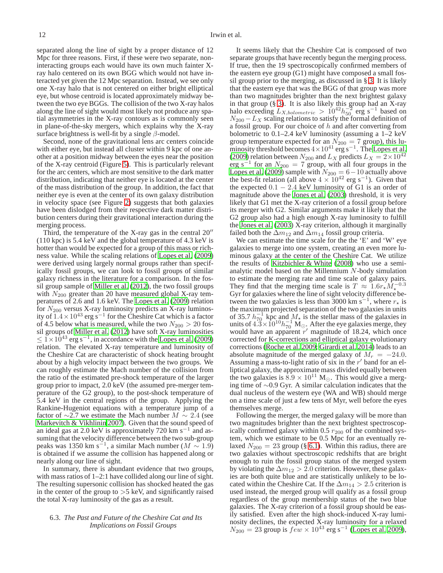separated along the line of sight by a proper distance of 12 Mpc for three reasons. First, if these were two separate, noninteracting groups each would have its own much fainter Xray halo centered on its own BGG which would not have interacted yet given the 12 Mpc separation. Instead, we see only one X-ray halo that is not centered on either bright elliptical eye, but whose centroid is located approximately midway between the two eye BGGs. The collision of the two X-ray halos along the line of sight would most likely not produce any spatial asymmetries in the X-ray contours as is commonly seen in plane-of-the-sky mergers, which explains why the X-ray surface brightness is well-fit by a single  $\beta$ -model.

Second, none of the gravitational lens arc centers coincide with either eye, but instead all cluster within 9 kpc of one another at a position midway between the eyes near the position of the X-ray centroid (Figure [5\)](#page-9-0). This is particularly relevant for the arc centers, which are most sensitive to the dark matter distribution, indicating that neither eye is located at the center of the mass distribution of the group. In addition, the fact that neither eye is even at the center of its own galaxy distribution in velocity space (see Figure [2\)](#page-3-0) suggests that both galaxies have been dislodged from their respective dark matter distribution centers during their gravitational interaction during the merging process.

Third, the temperature of the X-ray gas in the central 20′′ (110 kpc) is 5.4 keV and the global temperature of 4.3 keV is hotter than would be expected for a group of this mass or richness value. While the scaling relations of [Lopes et al. \(2009\)](#page-14-43) were derived using largely normal groups rather than specifically fossil groups, we can look to fossil groups of similar galaxy richness in the literature for a comparison. In the fossil group sample of [Miller et al. \(2012](#page-14-16)), the two fossil groups with  $N_{200}$  greater than 20 have measured global X-ray temperatures of 2.6 and 1.6 keV. The [Lopes et al.](#page-14-43) [\(2009\)](#page-14-43) relation for  $N_{200}$  versus X-ray luminosity predicts an X-ray luminosity of  $1.4 \times 10^{43}$  erg s<sup>-1</sup> for the Cheshire Cat which is a factor of 4.5 below what is measured, while the two  $N_{200} > 20$  fossil groups of [Miller et al. \(2012](#page-14-16)) have soft X-ray luminosities  $\leq$  1×10<sup>43</sup> erg s<sup>-1</sup>, in accordance with the [Lopes et al. \(2009\)](#page-14-43) relation. The elevated X-ray temperature and luminosity of the Cheshire Cat are characteristic of shock heating brought about by a high velocity impact between the two groups. We can roughly estimate the Mach number of the collision from the ratio of the estimated pre-shock temperature of the larger group prior to impact, 2.0 keV (the assumed pre-merger temperature of the G2 group), to the post-shock temperature of 5.4 keV in the central regions of the group. Applying the Rankine-Hugeniot equations with a temperature jump of a factor of  $\sim$ 2.7 we estimate the Mach number  $M \sim 2.4$  (see [Markevitch & Vikhlinin 2007\)](#page-14-52). Given that the sound speed of an ideal gas at 2.0 keV is approximately 720 km s<sup>-1</sup> and assuming that the velocity difference between the two sub-group peaks was 1350 km s<sup>-1</sup>, a similar Mach number ( $M \sim 1.9$ ) is obtained if we assume the collision has happened along or nearly along our line of sight.

In summary, there is abundant evidence that two groups, with mass ratios of 1–2:1 have collided along our line of sight. The resulting supersonic collision has shocked heated the gas in the center of the group to  $>5$  keV, and significantly raised the total X-ray luminosity of the gas as a result.

## <span id="page-11-0"></span>6.3. *The Past and Future of the Cheshire Cat and Its Implications on Fossil Groups*

It seems likely that the Cheshire Cat is composed of two separate groups that have recently begun the merging process. If true, then the 19 spectroscopically confirmed members of the eastern eye group (G1) might have composed a small fossil group prior to the merging, as discussed in § [3.](#page-1-1) It is likely that the eastern eye that was the BGG of that group was more than two magnitudes brighter than the next brightest galaxy in that group (§ [3\)](#page-1-1). It is also likely this group had an X-ray halo exceeding  $L_{X,bolometric} > 10^{42} h_{50}^{-2}$  erg s<sup>-1</sup> based on  $N_{200} - L_X$  scaling relations to satisfy the formal definition of a fossil group. For our choice of  $h$  and after converting from bolometric to 0.1–2.4 keV luminosity (assuming a 1–2 keV group temperature expected for an  $N_{200} = 7$  group), this luminosity threshold becomes  $4 \times 10^{41}$  erg s<sup>-1</sup>. The [Lopes et al.](#page-14-43) [\(2009\)](#page-14-43) relation between  $N_{200}$  and  $L_X$  predicts  $L_X = 2 \times 10^{42}$ erg s<sup>-1</sup> for an  $N_{200} = 7$  group, with all four groups in the [Lopes et al. \(2009](#page-14-43)) sample with  $N_{200} = 6 - 10$  actually above the best-fit relation (all above  $4 \times 10^{42}$  erg s<sup>-1</sup>). Given that the expected  $0.1 - 2.4$  keV luminosity of G1 is an order of magnitude above the [Jones et al. \(2003\)](#page-14-5) threshold, it is very likely that G1 met the X-ray criterion of a fossil group before its merger with G2. Similar arguments make it likely that the G2 group also had a high enough X-ray luminosity to fulfill the [Jones et al. \(2003\)](#page-14-5) X-ray criterion, although it marginally failed both the  $\Delta m_{12}$  and  $\Delta m_{14}$  fossil group criteria.

We can estimate the time scale for the the 'E' and 'W' eye galaxies to merge into one system, creating an even more luminous galaxy at the center of the Cheshire Cat. We utilize the results of [Kitzbichler & White](#page-14-53) [\(2008\)](#page-14-53) who use a semianalytic model based on the Millennium N-body simulation to estimate the merging rate and time scale of galaxy pairs. They find that the merging time scale is  $T \approx 1.6 r_{\star} M_{\star}^{-0.3}$ Gyr for galaxies where the line of sight velocity difference between the two galaxies is less than 3000 km s<sup>-1</sup>, where  $r_{\star}$  is the maximum projected separation of the two galaxies in units of 35.7  $h_{70}^{-1}$  kpc and  $M_{\star}$  is the stellar mass of the galaxies in units of  $4.3 \times 10^{10} h_{70}^{-1}$  M<sub>☉</sub>. After the eye galaxies merge, they would have an apparent  $r'$  magnitude of 18.24, which once corrected for K-corrections and elliptical galaxy evolutionary corrections [\(Roche et al. 2009;](#page-14-54) [Girardi et al. 2014\)](#page-14-19) leads to an absolute magnitude of the merged galaxy of  $M_r = -24.0$ . Assuming a mass-to-light ratio of six in the  $r'$  band for an elliptical galaxy, the approximate mass divided equally between the two galaxies is  $8.9 \times 10^{11}$  M<sub>☉</sub>. This would give a merging time of ∼0.9 Gyr. A similar calculation indicates that the dual nucleus of the western eye (WA and WB) should merge on a time scale of just a few tens of Myr, well before the eyes themselves merge.

Following the merger, the merged galaxy will be more than two magnitudes brighter than the next brightest spectroscopically confirmed galaxy within 0.5  $r_{200}$  of the combined system, which we estimate to be 0.5 Mpc for an eventually relaxed  $N_{200} = 23$  group (§ [6.1\)](#page-7-2). Within this radius, there are two galaxies without spectroscopic redshifts that are bright enough to ruin the fossil group status of the merged system by violating the  $\Delta m_{12} > 2.0$  criterion. However, these galaxies are both quite blue and are statistically unlikely to be located within the Cheshire Cat. If the  $\Delta m_{14} > 2.5$  criterion is used instead, the merged group will qualify as a fossil group regardless of the group membership status of the two blue galaxies. The X-ray criterion of a fossil group should be easily satisfied. Even after the high shock-induced X-ray luminosity declines, the expected X-ray luminosity for a relaxed  $N_{200} = 23$  group is  $few \times 10^{43}$  erg s<sup>-1</sup> [\(Lopes et al. 2009](#page-14-43)),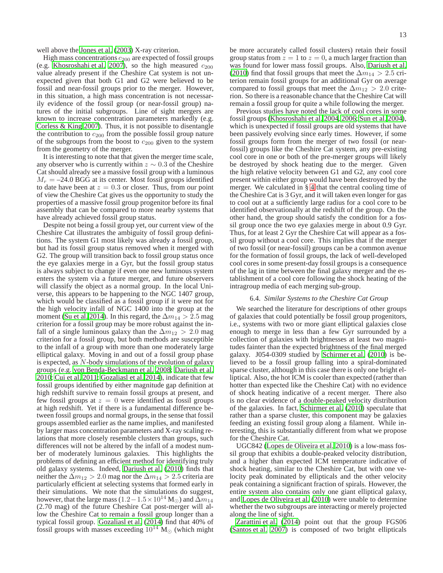well above the [Jones et al. \(2003\)](#page-14-5) X-ray criterion.

High mass concentrations  $c_{200}$  are expected of fossil groups (e.g. [Khosroshahi et al. 2007\)](#page-14-7), so the high measured  $c_{200}$ value already present if the Cheshire Cat system is not unexpected given that both G1 and G2 were believed to be fossil and near-fossil groups prior to the merger. However, in this situation, a high mass concentration is not necessarily evidence of the fossil group (or near-fossil group) natures of the initial subgroups. Line of sight mergers are known to increase concentration parameters markedly (e.g. [Corless & King 2007\)](#page-14-55). Thus, it is not possible to disentangle the contribution to  $c_{200}$  from the possible fossil group nature of the subgroups from the boost to  $c_{200}$  given to the system from the geometry of the merger.

It is interesting to note that that given the merger time scale, any observer who is currently within  $z \sim 0.3$  of the Cheshire Cat should already see a massive fossil group with a luminous  $M_r = -24.0$  BGG at its center. Most fossil groups identified to date have been at  $z = 0.3$  or closer. Thus, from our point of view the Cheshire Cat gives us the opportunity to study the properties of a massive fossil group progenitor before its final assembly that can be compared to more nearby systems that have already achieved fossil group status.

Despite not being a fossil group yet, our current view of the Cheshire Cat illustrates the ambiguity of fossil group definitions. The system G1 most likely was already a fossil group, but had its fossil group status removed when it merged with G2. The group will transition back to fossil group status once the eye galaxies merge in a Gyr, but the fossil group status is always subject to change if even one new luminous system enters the system via a future merger, and future observers will classify the object as a normal group. In the local Universe, this appears to be happening to the NGC 1407 group, which would be classified as a fossil group if it were not for the high velocity infall of NGC 1400 into the group at the moment [\(Su et al. 2014\)](#page-14-56). In this regard, the  $\Delta m_{14} > 2.5$  mag criterion for a fossil group may be more robust against the infall of a single luminous galaxy than the  $\Delta m_{12} > 2.0$  mag criterion for a fossil group, but both methods are susceptible to the infall of a group with more than one moderately large elliptical galaxy. Moving in and out of a fossil group phase is expected, as N-body simulations of the evolution of galaxy groups (e.g. [von Benda-Beckmann et al. 2008;](#page-14-23) [Dariush et al.](#page-14-24) [2010;](#page-14-24) [Cui et al. 2011;](#page-14-57) [Gozaliasl et al. 2014](#page-14-58)), indicate that few fossil groups identified by either magnitude gap definition at high redshift survive to remain fossil groups at present, and few fossil groups at  $z = 0$  were identified as fossil groups at high redshift. Yet if there is a fundamental difference between fossil groups and normal groups, in the sense that fossil groups assembled earlier as the name implies, and manifested by larger mass concentration parameters and X-ray scaling relations that more closely resemble clusters than groups, such differences will not be altered by the infall of a modest number of moderately luminous galaxies. This highlights the problems of defining an efficient method for identifying truly old galaxy systems. Indeed, [Dariush et al.](#page-14-24) [\(2010\)](#page-14-24) finds that neither the  $\Delta m_{12} > 2.0$  mag nor the  $\Delta m_{14} > 2.5$  criteria are particularly efficient at selecting systems that formed early in their simulations. We note that the simulations do suggest, however, that the large mass (1.2−1.5 × 10<sup>14</sup> M<sub>☉</sub>) and  $\overline{\Delta}m_{14}$ (2.70 mag) of the future Cheshire Cat post-merger will allow the Cheshire Cat to remain a fossil group longer than a typical fossil group. [Gozaliasl et al. \(2014\)](#page-14-58) find that 40% of fossil groups with masses exceeding  $10^{14}$  M<sub>☉</sub> (which might

13

be more accurately called fossil clusters) retain their fossil group status from  $z = 1$  to  $z = 0$ , a much larger fraction than was found for lower mass fossil groups. Also, [Dariush et al.](#page-14-24) [\(2010\)](#page-14-24) find that fossil groups that meet the  $\Delta m_{14} > 2.5$  criterion remain fossil groups for an additional Gyr on average compared to fossil groups that meet the  $\Delta m_{12} > 2.0$  criterion. So there is a reasonable chance that the Cheshire Cat will remain a fossil group for quite a while following the merger.

Previous studies have noted the lack of cool cores in some fossil groups [\(Khosroshahi et al. 2004,](#page-14-20) [2006](#page-14-13); [Sun et al. 2004](#page-14-21)), which is unexpected if fossil groups are old systems that have been passively evolving since early times. However, if some fossil groups form from the merger of two fossil (or nearfossil) groups like the Cheshire Cat system, any pre-existing cool core in one or both of the pre-merger groups will likely be destroyed by shock heating due to the merger. Given the high relative velocity between G1 and G2, any cool core present within either group would have been destroyed by the merger. We calculated in § [4](#page-6-0) that the central cooling time of the Cheshire Cat is 3 Gyr, and it will taken even longer for gas to cool out at a sufficiently large radius for a cool core to be identified observationally at the redshift of the group. On the other hand, the group should satisfy the condition for a fossil group once the two eye galaxies merge in about 0.9 Gyr. Thus, for at least 2 Gyr the Cheshire Cat will appear as a fossil group without a cool core. This implies that if the merger of two fossil (or near-fossil) groups can be a common avenue for the formation of fossil groups, the lack of well-developed cool cores in some present-day fossil groups is a consequence of the lag in time between the final galaxy merger and the establishment of a cool core following the shock heating of the intragroup media of each merging sub-group.

## 6.4. *Similar Systems to the Cheshire Cat Group*

We searched the literature for descriptions of other groups of galaxies that could potentially be fossil group progenitors, i.e., systems with two or more giant elliptical galaxies close enough to merge in less than a few Gyr surrounded by a collection of galaxies with brightnesses at least two magnitudes fainter than the expected brightness of the final merged galaxy. J054-0309 studied by [Schirmer et al.](#page-14-59) [\(2010\)](#page-14-59) is believed to be a fossil group falling into a spiral-dominated sparse cluster, although in this case there is only one bright elliptical. Also, the hot ICM is cooler than expected (rather than hotter than expected like the Cheshire Cat) with no evidence of shock heating indicative of a recent merger. There also is no clear evidence of a double-peaked velocity distribution of the galaxies. In fact, [Schirmer et al.](#page-14-59) [\(2010\)](#page-14-59) speculate that rather than a sparse cluster, this component may be galaxies feeding an existing fossil group along a filament. While interesting, this is substantially different from what we propose for the Cheshire Cat.

UGC842 [\(Lopes de Oliveira et al. 2010\)](#page-14-60) is a low-mass fossil group that exhibits a double-peaked velocity distribution, and a higher than expected ICM temperature indicative of shock heating, similar to the Cheshire Cat, but with one velocity peak dominated by ellipticals and the other velocity peak containing a significant fraction of spirals. However, the entire system also contains only one giant elliptical galaxy, and [Lopes de Oliveira et al. \(2010\)](#page-14-60) were unable to determine whether the two subgroups are interacting or merely projected along the line of sight.

[Zarattini et al. \(2014\)](#page-14-61) point out that the group FGS06 [\(Santos et al. 2007\)](#page-14-62) is composed of two bright ellipticals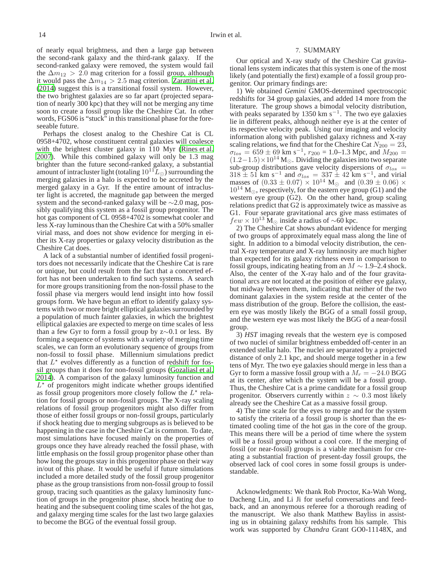14 Irwin et al.

of nearly equal brightness, and then a large gap between the second-rank galaxy and the third-rank galaxy. If the second-ranked galaxy were removed, the system would fail the  $\Delta m_{12} > 2.0$  mag criterion for a fossil group, although it would pass the  $\Delta m_{14} > 2.5$  mag criterion. [Zarattini et al.](#page-14-61) [\(2014](#page-14-61)) suggest this is a transitional fossil system. However, the two brightest galaxies are so far apart (projected separation of nearly 300 kpc) that they will not be merging any time soon to create a fossil group like the Cheshire Cat. In other words, FGS06 is "stuck" in this transitional phase for the foreseeable future.

Perhaps the closest analog to the Cheshire Cat is CL 0958+4702, whose constituent central galaxies will coalesce with the brightest cluster galaxy in 110 Myr [\(Rines et al.](#page-14-63) [2007\)](#page-14-63). While this combined galaxy will only be 1.3 mag brighter than the future second-ranked galaxy, a substantial amount of intracluster light (totaling  $10^{11}L_{\odot}$ ) surrounding the merging galaxies in a halo is expected to be accreted by the merged galaxy in a Gyr. If the entire amount of intracluster light is accreted, the magnitude gap between the merged system and the second-ranked galaxy will be ∼2.0 mag, possibly qualifying this system as a fossil group progenitor. The hot gas component of CL 0958+4702 is somewhat cooler and less X-ray luminous than the Cheshire Cat with a 50% smaller virial mass, and does not show evidence for merging in either its X-ray properties or galaxy velocity distribution as the Cheshire Cat does.

A lack of a substantial number of identified fossil progenitors does not necessarily indicate that the Cheshire Cat is rare or unique, but could result from the fact that a concerted effort has not been undertaken to find such systems. A search for more groups transitioning from the non-fossil phase to the fossil phase via mergers would lend insight into how fossil groups form. We have begun an effort to identify galaxy systems with two or more bright elliptical galaxies surrounded by a population of much fainter galaxies, in which the brightest elliptical galaxies are expected to merge on time scales of less than a few Gyr to form a fossil group by z∼0.1 or less. By forming a sequence of systems with a variety of merging time scales, we can form an evolutionary sequence of groups from non-fossil to fossil phase. Millennium simulations predict that  $L^*$  evolves differently as a function of redshift for fossil groups than it does for non-fossil groups [\(Gozaliasl et al.](#page-14-58) [2014\)](#page-14-58). A comparison of the galaxy luminosity function and  $L^*$  of progenitors might indicate whether groups identified as fossil group progenitors more closely follow the  $L^*$  relation for fossil groups or non-fossil groups. The X-ray scaling relations of fossil group progenitors might also differ from those of either fossil groups or non-fossil groups, particularly if shock heating due to merging subgroups as is believed to be happening in the case in the Cheshire Cat is common. To date, most simulations have focused mainly on the properties of groups once they have already reached the fossil phase, with little emphasis on the fossil group progenitor phase other than how long the groups stay in this progenitor phase on their way in/out of this phase. It would be useful if future simulations included a more detailed study of the fossil group progenitor phase as the group transistions from non-fossil group to fossil group, tracing such quantities as the galaxy luminosity function of groups in the progenitor phase, shock heating due to heating and the subsequent cooling time scales of the hot gas, and galaxy merging time scales for the last two large galaxies to become the BGG of the eventual fossil group.

## 7. SUMMARY

<span id="page-13-0"></span>Our optical and X-ray study of the Cheshire Cat gravitational lens system indicates that this system is one of the most likely (and potentially the first) example of a fossil group progenitor. Our primary findings are:

1) We obtained *Gemini* GMOS-determined spectroscopic redshifts for 34 group galaxies, and added 14 more from the literature. The group shows a bimodal velocity distribution, with peaks separated by 1350 km s<sup>-1</sup>. The two eye galaxies lie in different peaks, although neither eye is at the center of its respective velocity peak. Using our imaging and velocity information along with published galaxy richness and X-ray scaling relations, we find that for the Cheshire Cat  $N_{200} = 23$ ,  $\sigma_{los} = 659 \pm 69$  km s<sup>-1</sup>,  $r_{200} = 1.0$ -1.3 Mpc, and  $M_{200} =$  $(1.2-1.5)\times10^{14}$  M<sub>☉</sub>. Dividing the galaxies into two separate sub-group distributions gave velocity dispersions of  $\sigma_{los}$  =  $318 \pm 51$  km s<sup>-1</sup> and  $\sigma_{los} = 337 \pm 42$  km s<sup>-1</sup>, and virial masses of  $(0.33 \pm 0.07) \times 10^{14}$  M<sub>o</sub> and  $(0.39 \pm 0.06) \times$  $10^{14}$  M<sub>☉</sub>, respectively, for the eastern eye group (G1) and the western eye group (G2). On the other hand, group scaling relations predict that G2 is approximately twice as massive as G1. Four separate gravitational arcs give mass estimates of  $few \times 10^{13}$  M<sub>☉</sub> inside a radius of ~60 kpc.

2) The Cheshire Cat shows abundant evidence for merging of two groups of approximately equal mass along the line of sight. In addition to a bimodal velocity distribution, the central X-ray temperature and X-ray luminosity are much higher than expected for its galaxy richness even in comparison to fossil groups, indicating heating from an  $M \sim 1.9$ –2.4 shock. Also, the center of the X-ray halo and of the four gravitational arcs are not located at the position of either eye galaxy, but midway between them, indicating that neither of the two dominant galaxies in the system reside at the center of the mass distribution of the group. Before the collision, the eastern eye was mostly likely the BGG of a small fossil group, and the western eye was most likely the BGG of a near-fossil group.

3) *HST* imaging reveals that the western eye is composed of two nuclei of similar brightness embedded off-center in an extended stellar halo. The nuclei are separated by a projected distance of only 2.1 kpc, and should merge together in a few tens of Myr. The two eye galaxies should merge in less than a Gyr to form a massive fossil group with a  $M_r = -24.0$  BGG at its center, after which the system will be a fossil group. Thus, the Cheshire Cat is a prime candidate for a fossil group progenitor. Observers currently within  $z \sim 0.3$  most likely already see the Cheshire Cat as a massive fossil group.

4) The time scale for the eyes to merge and for the system to satisfy the criteria of a fossil group is shorter than the estimated cooling time of the hot gas in the core of the group. This means there will be a period of time where the system will be a fossil group without a cool core. If the merging of fossil (or near-fossil) groups is a viable mechanism for creating a substantial fraction of present-day fossil groups, the observed lack of cool cores in some fossil groups is understandable.

Acknowledgments: We thank Rob Proctor, Ka-Wah Wong, Dacheng Lin, and Li Ji for useful conversations and feedback, and an anonymous referee for a thorough reading of the manuscript. We also thank Matthew Bayliss in assisting us in obtaining galaxy redshifts from his sample. This work was supported by *Chandra* Grant GO0-11148X, and